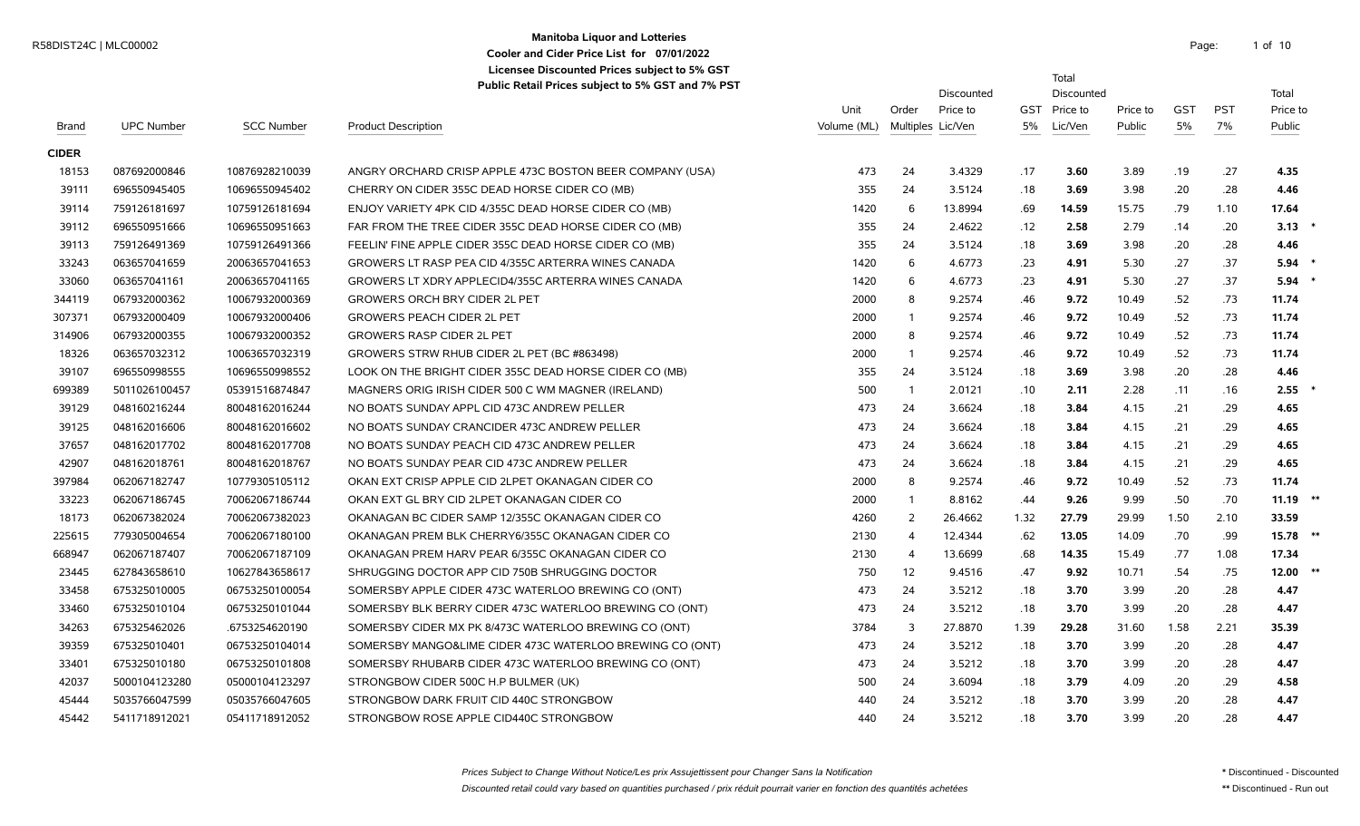# **Manitoba Liquor and Lotteries** R58DIST24C | MLC00002 Page: 1 of the contract of the contract of the contract of the contract of the contract of the contract of the contract of the contract of the contract of the contract of the contract of the contract **Cooler and Cider Price List for 07/01/2022**

Total

**Licensee Discounted Prices subject to 5% GST**

|              |                   |                   | $\alpha$ above retain Fires subject to 3% GST and 7% FST |             |                   | Discounted |      | Discounted   |          |            |            | Total      |  |
|--------------|-------------------|-------------------|----------------------------------------------------------|-------------|-------------------|------------|------|--------------|----------|------------|------------|------------|--|
|              |                   |                   |                                                          | Unit        | Order             | Price to   |      | GST Price to | Price to | <b>GST</b> | <b>PST</b> | Price to   |  |
| Brand        | <b>UPC Number</b> | <b>SCC Number</b> | <b>Product Description</b>                               | Volume (ML) | Multiples Lic/Ven |            | 5%   | Lic/Ven      | Public   | 5%         | 7%         | Public     |  |
| <b>CIDER</b> |                   |                   |                                                          |             |                   |            |      |              |          |            |            |            |  |
| 18153        | 087692000846      | 10876928210039    | ANGRY ORCHARD CRISP APPLE 473C BOSTON BEER COMPANY (USA) | 473         | 24                | 3.4329     | .17  | 3.60         | 3.89     | .19        | .27        | 4.35       |  |
| 39111        | 696550945405      | 10696550945402    | CHERRY ON CIDER 355C DEAD HORSE CIDER CO (MB)            | 355         | 24                | 3.5124     | .18  | 3.69         | 3.98     | .20        | .28        | 4.46       |  |
| 39114        | 759126181697      | 10759126181694    | ENJOY VARIETY 4PK CID 4/355C DEAD HORSE CIDER CO (MB)    | 1420        | 6                 | 13.8994    | .69  | 14.59        | 15.75    | .79        | 1.10       | 17.64      |  |
| 39112        | 696550951666      | 10696550951663    | FAR FROM THE TREE CIDER 355C DEAD HORSE CIDER CO (MB)    | 355         | 24                | 2.4622     | .12  | 2.58         | 2.79     | .14        | .20        | 3.13       |  |
| 39113        | 759126491369      | 10759126491366    | FEELIN' FINE APPLE CIDER 355C DEAD HORSE CIDER CO (MB)   | 355         | 24                | 3.5124     | .18  | 3.69         | 3.98     | .20        | .28        | 4.46       |  |
| 33243        | 063657041659      | 20063657041653    | GROWERS LT RASP PEA CID 4/355C ARTERRA WINES CANADA      | 1420        | 6                 | 4.6773     | .23  | 4.91         | 5.30     | .27        | .37        | $5.94$ *   |  |
| 33060        | 063657041161      | 20063657041165    | GROWERS LT XDRY APPLECID4/355C ARTERRA WINES CANADA      | 1420        | 6                 | 4.6773     | .23  | 4.91         | 5.30     | .27        | .37        | $5.94$ *   |  |
| 344119       | 067932000362      | 10067932000369    | <b>GROWERS ORCH BRY CIDER 2L PET</b>                     | 2000        | 8                 | 9.2574     | .46  | 9.72         | 10.49    | .52        | .73        | 11.74      |  |
| 307371       | 067932000409      | 10067932000406    | <b>GROWERS PEACH CIDER 2L PET</b>                        | 2000        | $\overline{1}$    | 9.2574     | .46  | 9.72         | 10.49    | .52        | .73        | 11.74      |  |
| 314906       | 067932000355      | 10067932000352    | <b>GROWERS RASP CIDER 2L PET</b>                         | 2000        | 8                 | 9.2574     | .46  | 9.72         | 10.49    | .52        | .73        | 11.74      |  |
| 18326        | 063657032312      | 10063657032319    | GROWERS STRW RHUB CIDER 2L PET (BC #863498)              | 2000        | $\overline{1}$    | 9.2574     | .46  | 9.72         | 10.49    | .52        | .73        | 11.74      |  |
| 39107        | 696550998555      | 10696550998552    | LOOK ON THE BRIGHT CIDER 355C DEAD HORSE CIDER CO (MB)   | 355         | 24                | 3.5124     | .18  | 3.69         | 3.98     | .20        | .28        | 4.46       |  |
| 699389       | 5011026100457     | 05391516874847    | MAGNERS ORIG IRISH CIDER 500 C WM MAGNER (IRELAND)       | 500         | $\overline{1}$    | 2.0121     | .10  | 2.11         | 2.28     | .11        | .16        | $2.55$ *   |  |
| 39129        | 048160216244      | 80048162016244    | NO BOATS SUNDAY APPL CID 473C ANDREW PELLER              | 473         | 24                | 3.6624     | .18  | 3.84         | 4.15     | .21        | .29        | 4.65       |  |
| 39125        | 048162016606      | 80048162016602    | NO BOATS SUNDAY CRANCIDER 473C ANDREW PELLER             | 473         | 24                | 3.6624     | .18  | 3.84         | 4.15     | .21        | .29        | 4.65       |  |
| 37657        | 048162017702      | 80048162017708    | NO BOATS SUNDAY PEACH CID 473C ANDREW PELLER             | 473         | 24                | 3.6624     | .18  | 3.84         | 4.15     | .21        | .29        | 4.65       |  |
| 42907        | 048162018761      | 80048162018767    | NO BOATS SUNDAY PEAR CID 473C ANDREW PELLER              | 473         | 24                | 3.6624     | .18  | 3.84         | 4.15     | .21        | .29        | 4.65       |  |
| 397984       | 062067182747      | 10779305105112    | OKAN EXT CRISP APPLE CID 2LPET OKANAGAN CIDER CO         | 2000        | 8                 | 9.2574     | .46  | 9.72         | 10.49    | .52        | .73        | 11.74      |  |
| 33223        | 062067186745      | 70062067186744    | OKAN EXT GL BRY CID 2LPET OKANAGAN CIDER CO              | 2000        | $\mathbf{1}$      | 8.8162     | .44  | 9.26         | 9.99     | .50        | .70        | $11.19$ ** |  |
| 18173        | 062067382024      | 70062067382023    | OKANAGAN BC CIDER SAMP 12/355C OKANAGAN CIDER CO         | 4260        | 2                 | 26.4662    | 1.32 | 27.79        | 29.99    | 1.50       | 2.10       | 33.59      |  |
| 225615       | 779305004654      | 70062067180100    | OKANAGAN PREM BLK CHERRY6/355C OKANAGAN CIDER CO         | 2130        | $\overline{4}$    | 12.4344    | .62  | 13.05        | 14.09    | .70        | .99        | $15.78$ ** |  |
| 668947       | 062067187407      | 70062067187109    | OKANAGAN PREM HARV PEAR 6/355C OKANAGAN CIDER CO         | 2130        | $\overline{4}$    | 13.6699    | .68  | 14.35        | 15.49    | .77        | 1.08       | 17.34      |  |
| 23445        | 627843658610      | 10627843658617    | SHRUGGING DOCTOR APP CID 750B SHRUGGING DOCTOR           | 750         | 12                | 9.4516     | .47  | 9.92         | 10.71    | .54        | .75        | $12.00$ ** |  |
| 33458        | 675325010005      | 06753250100054    | SOMERSBY APPLE CIDER 473C WATERLOO BREWING CO (ONT)      | 473         | 24                | 3.5212     | .18  | 3.70         | 3.99     | .20        | .28        | 4.47       |  |
| 33460        | 675325010104      | 06753250101044    | SOMERSBY BLK BERRY CIDER 473C WATERLOO BREWING CO (ONT)  | 473         | 24                | 3.5212     | .18  | 3.70         | 3.99     | .20        | .28        | 4.47       |  |
| 34263        | 675325462026      | .6753254620190    | SOMERSBY CIDER MX PK 8/473C WATERLOO BREWING CO (ONT)    | 3784        | 3                 | 27.8870    | 1.39 | 29.28        | 31.60    | 1.58       | 2.21       | 35.39      |  |
| 39359        | 675325010401      | 06753250104014    | SOMERSBY MANGO&LIME CIDER 473C WATERLOO BREWING CO (ONT) | 473         | 24                | 3.5212     | .18  | 3.70         | 3.99     | .20        | .28        | 4.47       |  |
| 33401        | 675325010180      | 06753250101808    | SOMERSBY RHUBARB CIDER 473C WATERLOO BREWING CO (ONT)    | 473         | 24                | 3.5212     | .18  | 3.70         | 3.99     | .20        | .28        | 4.47       |  |
| 42037        | 5000104123280     | 05000104123297    | STRONGBOW CIDER 500C H.P BULMER (UK)                     | 500         | 24                | 3.6094     | .18  | 3.79         | 4.09     | .20        | .29        | 4.58       |  |
| 45444        | 5035766047599     | 05035766047605    | STRONGBOW DARK FRUIT CID 440C STRONGBOW                  | 440         | 24                | 3.5212     | .18  | 3.70         | 3.99     | .20        | .28        | 4.47       |  |
| 45442        | 5411718912021     | 05411718912052    | STRONGBOW ROSE APPLE CID440C STRONGBOW                   | 440         | 24                | 3.5212     | .18  | 3.70         | 3.99     | .20        | .28        | 4.47       |  |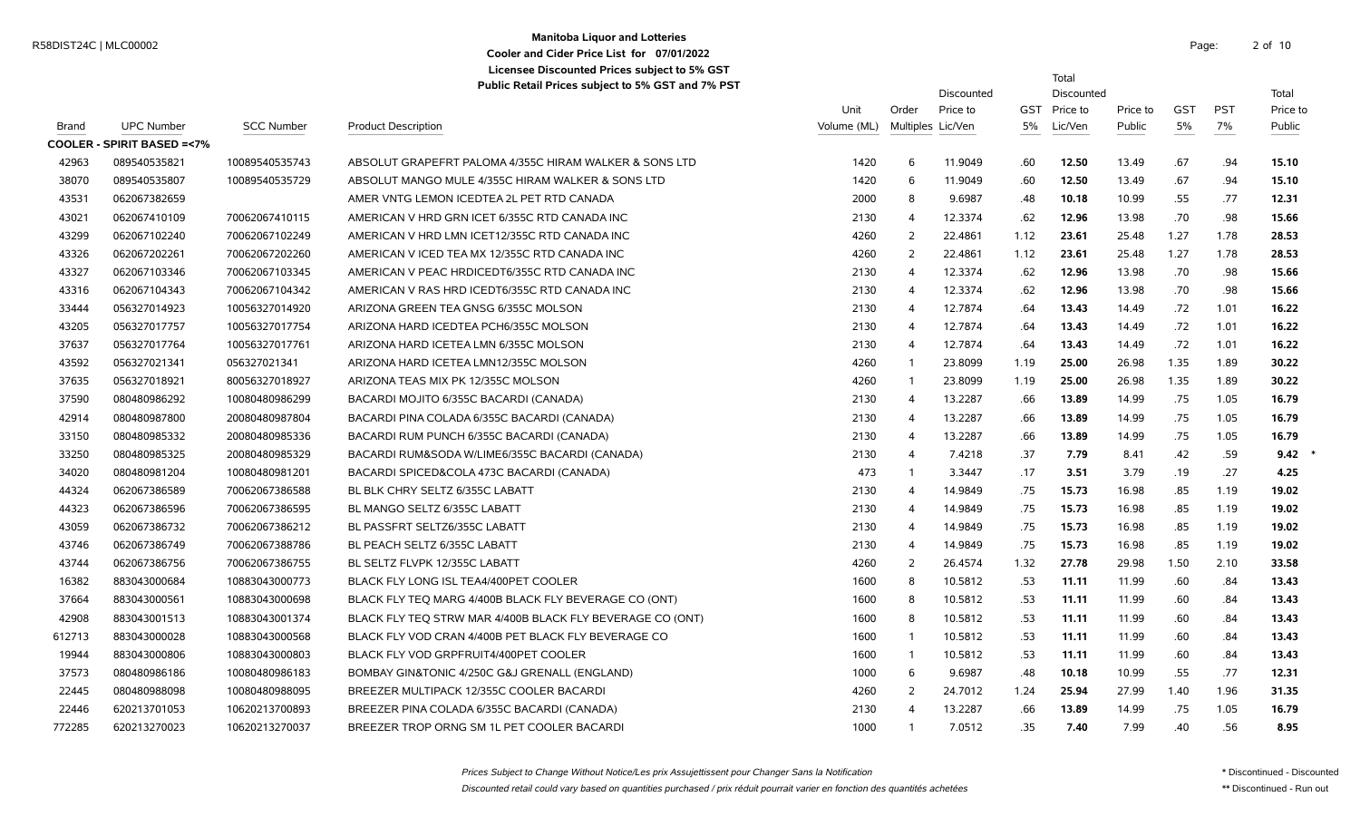#### **Manitoba Liquor and Lotteries** R58DIST24C | MLC00002 Page: 2 of **Cooler and Cider Price List for 07/01/2022 Licensee Discounted Prices subject to 5% GST Public Retail Prices subject to 5% GST and 7% PST**

2 of 10

Total

|              |                                      |                   |                                                           |             |                   | Discounted |      | Discounted   |          |            |            | Total    |
|--------------|--------------------------------------|-------------------|-----------------------------------------------------------|-------------|-------------------|------------|------|--------------|----------|------------|------------|----------|
|              |                                      |                   |                                                           | Unit        | Order             | Price to   |      | GST Price to | Price to | <b>GST</b> | <b>PST</b> | Price to |
| <b>Brand</b> | <b>UPC Number</b>                    | <b>SCC Number</b> | <b>Product Description</b>                                | Volume (ML) | Multiples Lic/Ven |            | 5%   | Lic/Ven      | Public   | 5%         | 7%         | Public   |
|              | <b>COOLER - SPIRIT BASED =&lt;7%</b> |                   |                                                           |             |                   |            |      |              |          |            |            |          |
| 42963        | 089540535821                         | 10089540535743    | ABSOLUT GRAPEFRT PALOMA 4/355C HIRAM WALKER & SONS LTD    | 1420        | 6                 | 11.9049    | .60  | 12.50        | 13.49    | .67        | .94        | 15.10    |
| 38070        | 089540535807                         | 10089540535729    | ABSOLUT MANGO MULE 4/355C HIRAM WALKER & SONS LTD         | 1420        | 6                 | 11.9049    | .60  | 12.50        | 13.49    | .67        | .94        | 15.10    |
| 43531        | 062067382659                         |                   | AMER VNTG LEMON ICEDTEA 2L PET RTD CANADA                 | 2000        | 8                 | 9.6987     | .48  | 10.18        | 10.99    | .55        | .77        | 12.31    |
| 43021        | 062067410109                         | 70062067410115    | AMERICAN V HRD GRN ICET 6/355C RTD CANADA INC             | 2130        | 4                 | 12.3374    | .62  | 12.96        | 13.98    | .70        | .98        | 15.66    |
| 43299        | 062067102240                         | 70062067102249    | AMERICAN V HRD LMN ICET12/355C RTD CANADA INC             | 4260        | 2                 | 22.4861    | 1.12 | 23.61        | 25.48    | 1.27       | 1.78       | 28.53    |
| 43326        | 062067202261                         | 70062067202260    | AMERICAN V ICED TEA MX 12/355C RTD CANADA INC             | 4260        | 2                 | 22.4861    | 1.12 | 23.61        | 25.48    | 1.27       | 1.78       | 28.53    |
| 43327        | 062067103346                         | 70062067103345    | AMERICAN V PEAC HRDICEDT6/355C RTD CANADA INC             | 2130        | 4                 | 12.3374    | .62  | 12.96        | 13.98    | .70        | .98        | 15.66    |
| 43316        | 062067104343                         | 70062067104342    | AMERICAN V RAS HRD ICEDT6/355C RTD CANADA INC             | 2130        | 4                 | 12.3374    | .62  | 12.96        | 13.98    | .70        | .98        | 15.66    |
| 33444        | 056327014923                         | 10056327014920    | ARIZONA GREEN TEA GNSG 6/355C MOLSON                      | 2130        | 4                 | 12.7874    | .64  | 13.43        | 14.49    | .72        | 1.01       | 16.22    |
| 43205        | 056327017757                         | 10056327017754    | ARIZONA HARD ICEDTEA PCH6/355C MOLSON                     | 2130        | 4                 | 12.7874    | .64  | 13.43        | 14.49    | .72        | 1.01       | 16.22    |
| 37637        | 056327017764                         | 10056327017761    | ARIZONA HARD ICETEA LMN 6/355C MOLSON                     | 2130        | 4                 | 12.7874    | .64  | 13.43        | 14.49    | .72        | 1.01       | 16.22    |
| 43592        | 056327021341                         | 056327021341      | ARIZONA HARD ICETEA LMN12/355C MOLSON                     | 4260        |                   | 23.8099    | 1.19 | 25.00        | 26.98    | 1.35       | 1.89       | 30.22    |
| 37635        | 056327018921                         | 80056327018927    | ARIZONA TEAS MIX PK 12/355C MOLSON                        | 4260        |                   | 23.8099    | 1.19 | 25.00        | 26.98    | 1.35       | 1.89       | 30.22    |
| 37590        | 080480986292                         | 10080480986299    | BACARDI MOJITO 6/355C BACARDI (CANADA)                    | 2130        | $\overline{4}$    | 13.2287    | .66  | 13.89        | 14.99    | .75        | 1.05       | 16.79    |
| 42914        | 080480987800                         | 20080480987804    | BACARDI PINA COLADA 6/355C BACARDI (CANADA)               | 2130        | 4                 | 13.2287    | .66  | 13.89        | 14.99    | .75        | 1.05       | 16.79    |
| 33150        | 080480985332                         | 20080480985336    | BACARDI RUM PUNCH 6/355C BACARDI (CANADA)                 | 2130        | $\overline{4}$    | 13.2287    | .66  | 13.89        | 14.99    | .75        | 1.05       | 16.79    |
| 33250        | 080480985325                         | 20080480985329    | BACARDI RUM&SODA W/LIME6/355C BACARDI (CANADA)            | 2130        | 4                 | 7.4218     | .37  | 7.79         | 8.41     | .42        | .59        | 9.42     |
| 34020        | 080480981204                         | 10080480981201    | BACARDI SPICED&COLA 473C BACARDI (CANADA)                 | 473         |                   | 3.3447     | .17  | 3.51         | 3.79     | .19        | .27        | 4.25     |
| 44324        | 062067386589                         | 70062067386588    | BL BLK CHRY SELTZ 6/355C LABATT                           | 2130        | 4                 | 14.9849    | .75  | 15.73        | 16.98    | .85        | 1.19       | 19.02    |
| 44323        | 062067386596                         | 70062067386595    | BL MANGO SELTZ 6/355C LABATT                              | 2130        | 4                 | 14.9849    | .75  | 15.73        | 16.98    | .85        | 1.19       | 19.02    |
| 43059        | 062067386732                         | 70062067386212    | BL PASSFRT SELTZ6/355C LABATT                             | 2130        | 4                 | 14.9849    | .75  | 15.73        | 16.98    | .85        | 1.19       | 19.02    |
| 43746        | 062067386749                         | 70062067388786    | BL PEACH SELTZ 6/355C LABATT                              | 2130        | 4                 | 14.9849    | .75  | 15.73        | 16.98    | .85        | 1.19       | 19.02    |
| 43744        | 062067386756                         | 70062067386755    | BL SELTZ FLVPK 12/355C LABATT                             | 4260        | 2                 | 26.4574    | 1.32 | 27.78        | 29.98    | 1.50       | 2.10       | 33.58    |
| 16382        | 883043000684                         | 10883043000773    | BLACK FLY LONG ISL TEA4/400PET COOLER                     | 1600        | 8                 | 10.5812    | .53  | 11.11        | 11.99    | .60        | .84        | 13.43    |
| 37664        | 883043000561                         | 10883043000698    | BLACK FLY TEO MARG 4/400B BLACK FLY BEVERAGE CO (ONT)     | 1600        | 8                 | 10.5812    | .53  | 11.11        | 11.99    | .60        | .84        | 13.43    |
| 42908        | 883043001513                         | 10883043001374    | BLACK FLY TEO STRW MAR 4/400B BLACK FLY BEVERAGE CO (ONT) | 1600        | 8                 | 10.5812    | .53  | 11.11        | 11.99    | .60        | .84        | 13.43    |
| 612713       | 883043000028                         | 10883043000568    | BLACK FLY VOD CRAN 4/400B PET BLACK FLY BEVERAGE CO       | 1600        |                   | 10.5812    | .53  | 11.11        | 11.99    | .60        | .84        | 13.43    |

 883043001513 10883043001374 BLACK FLY TEQ STRW MAR 4/400B BLACK FLY BEVERAGE CO (ONT) 1600 8 10.5812 .53 **11.11** 11.99 .60 .84 **13.43** 883043000028 10883043000568 BLACK FLY VOD CRAN 4/400B PET BLACK FLY BEVERAGE CO 1600 1 10.5812 .53 **11.11** 11.99 .60 .84 **13.43** 883043000806 10883043000803 BLACK FLY VOD GRPFRUIT4/400PET COOLER 1600 1 10.5812 .53 **11.11** 11.99 .60 .84 **13.43** 080480986186 10080480986183 BOMBAY GIN&TONIC 4/250C G&J GRENALL (ENGLAND) 1000 6 9.6987 .48 **10.18** 10.99 .55 .77 **12.31** 080480988098 10080480988095 BREEZER MULTIPACK 12/355C COOLER BACARDI 4260 2 24.7012 1.24 **25.94** 27.99 1.40 1.96 **31.35** 620213701053 10620213700893 BREEZER PINA COLADA 6/355C BACARDI (CANADA) 2130 4 13.2287 .66 **13.89** 14.99 .75 1.05 **16.79** 620213270023 10620213270037 BREEZER TROP ORNG SM 1L PET COOLER BACARDI 1000 1 7.0512 .35 **7.40** 7.99 .40 .56 **8.95**

Prices Subject to Change Without Notice/Les prix Assujettissent pour Changer Sans la Notification \* Discontinued - Discounted - Discounted - Discounted

Discounted retail could vary based on quantities purchased / prix réduit pourrait varier en fonction des quantités achetées \*\* Discontinued - Run out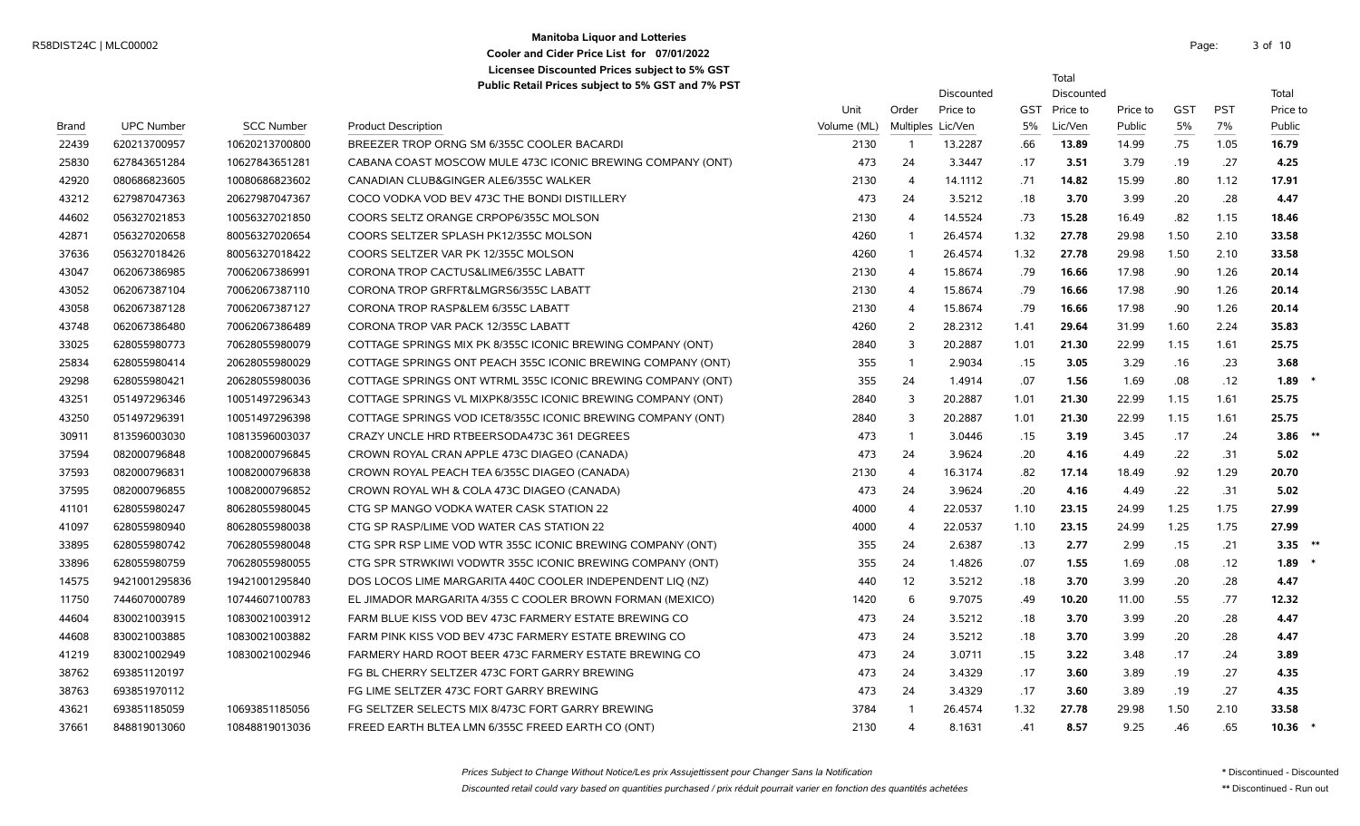### **Manitoba Liquor and Lotteries** R58DIST24C | MLC00002 Page: 3 of the state of the contract of the contract of the contract of the contract of the contract of the contract of the contract of the contract of the contract of the contract of the contract of **Cooler and Cider Price List for 07/01/2022 Licensee Discounted Prices subject to 5% GST**

3 of 10

Total

|       |                   |                   |                                                             |             |                | Discounted        |      | Discounted   |          |            |            | Total       |  |
|-------|-------------------|-------------------|-------------------------------------------------------------|-------------|----------------|-------------------|------|--------------|----------|------------|------------|-------------|--|
|       |                   |                   |                                                             | Unit        | Order          | Price to          |      | GST Price to | Price to | <b>GST</b> | <b>PST</b> | Price to    |  |
| Brand | <b>UPC Number</b> | <b>SCC Number</b> | <b>Product Description</b>                                  | Volume (ML) |                | Multiples Lic/Ven | 5%   | Lic/Ven      | Public   | 5%         | 7%         | Public      |  |
| 22439 | 620213700957      | 10620213700800    | BREEZER TROP ORNG SM 6/355C COOLER BACARDI                  | 2130        | $\overline{1}$ | 13.2287           | .66  | 13.89        | 14.99    | .75        | 1.05       | 16.79       |  |
| 25830 | 627843651284      | 10627843651281    | CABANA COAST MOSCOW MULE 473C ICONIC BREWING COMPANY (ONT)  | 473         | 24             | 3.3447            | .17  | 3.51         | 3.79     | .19        | .27        | 4.25        |  |
| 42920 | 080686823605      | 10080686823602    | CANADIAN CLUB&GINGER ALE6/355C WALKER                       | 2130        | $\overline{4}$ | 14.1112           | .71  | 14.82        | 15.99    | .80        | 1.12       | 17.91       |  |
| 43212 | 627987047363      | 20627987047367    | COCO VODKA VOD BEV 473C THE BONDI DISTILLERY                | 473         | 24             | 3.5212            | .18  | 3.70         | 3.99     | .20        | .28        | 4.47        |  |
| 44602 | 056327021853      | 10056327021850    | COORS SELTZ ORANGE CRPOP6/355C MOLSON                       | 2130        | $\overline{4}$ | 14.5524           | .73  | 15.28        | 16.49    | .82        | 1.15       | 18.46       |  |
| 42871 | 056327020658      | 80056327020654    | COORS SELTZER SPLASH PK12/355C MOLSON                       | 4260        | $\overline{1}$ | 26.4574           | 1.32 | 27.78        | 29.98    | 1.50       | 2.10       | 33.58       |  |
| 37636 | 056327018426      | 80056327018422    | COORS SELTZER VAR PK 12/355C MOLSON                         | 4260        | $\overline{1}$ | 26.4574           | 1.32 | 27.78        | 29.98    | 1.50       | 2.10       | 33.58       |  |
| 43047 | 062067386985      | 70062067386991    | CORONA TROP CACTUS&LIME6/355C LABATT                        | 2130        | $\overline{4}$ | 15.8674           | .79  | 16.66        | 17.98    | .90        | 1.26       | 20.14       |  |
| 43052 | 062067387104      | 70062067387110    | CORONA TROP GRFRT&LMGRS6/355C LABATT                        | 2130        | $\overline{4}$ | 15.8674           | .79  | 16.66        | 17.98    | .90        | 1.26       | 20.14       |  |
| 43058 | 062067387128      | 70062067387127    | CORONA TROP RASP&LEM 6/355C LABATT                          | 2130        | $\overline{4}$ | 15.8674           | .79  | 16.66        | 17.98    | .90        | 1.26       | 20.14       |  |
| 43748 | 062067386480      | 70062067386489    | CORONA TROP VAR PACK 12/355C LABATT                         | 4260        | 2              | 28.2312           | 1.41 | 29.64        | 31.99    | 1.60       | 2.24       | 35.83       |  |
| 33025 | 628055980773      | 70628055980079    | COTTAGE SPRINGS MIX PK 8/355C ICONIC BREWING COMPANY (ONT)  | 2840        | 3              | 20.2887           | 1.01 | 21.30        | 22.99    | 1.15       | 1.61       | 25.75       |  |
| 25834 | 628055980414      | 20628055980029    | COTTAGE SPRINGS ONT PEACH 355C ICONIC BREWING COMPANY (ONT) | 355         | $\overline{1}$ | 2.9034            | .15  | 3.05         | 3.29     | .16        | .23        | 3.68        |  |
| 29298 | 628055980421      | 20628055980036    | COTTAGE SPRINGS ONT WTRML 355C ICONIC BREWING COMPANY (ONT) | 355         | 24             | 1.4914            | .07  | 1.56         | 1.69     | .08        | .12        | 1.89        |  |
| 43251 | 051497296346      | 10051497296343    | COTTAGE SPRINGS VL MIXPK8/355C ICONIC BREWING COMPANY (ONT) | 2840        | $\overline{3}$ | 20.2887           | 1.01 | 21.30        | 22.99    | 1.15       | 1.61       | 25.75       |  |
| 43250 | 051497296391      | 10051497296398    | COTTAGE SPRINGS VOD ICET8/355C ICONIC BREWING COMPANY (ONT) | 2840        | $\overline{3}$ | 20.2887           | 1.01 | 21.30        | 22.99    | 1.15       | 1.61       | 25.75       |  |
| 30911 | 813596003030      | 10813596003037    | CRAZY UNCLE HRD RTBEERSODA473C 361 DEGREES                  | 473         | $\overline{1}$ | 3.0446            | .15  | 3.19         | 3.45     | .17        | .24        | 3.86        |  |
| 37594 | 082000796848      | 10082000796845    | CROWN ROYAL CRAN APPLE 473C DIAGEO (CANADA)                 | 473         | 24             | 3.9624            | .20  | 4.16         | 4.49     | .22        | .31        | 5.02        |  |
| 37593 | 082000796831      | 10082000796838    | CROWN ROYAL PEACH TEA 6/355C DIAGEO (CANADA)                | 2130        | $\overline{4}$ | 16.3174           | .82  | 17.14        | 18.49    | .92        | 1.29       | 20.70       |  |
| 37595 | 082000796855      | 10082000796852    | CROWN ROYAL WH & COLA 473C DIAGEO (CANADA)                  | 473         | 24             | 3.9624            | .20  | 4.16         | 4.49     | .22        | .31        | 5.02        |  |
| 41101 | 628055980247      | 80628055980045    | CTG SP MANGO VODKA WATER CASK STATION 22                    | 4000        | $\overline{4}$ | 22.0537           | 1.10 | 23.15        | 24.99    | 1.25       | 1.75       | 27.99       |  |
| 41097 | 628055980940      | 80628055980038    | CTG SP RASP/LIME VOD WATER CAS STATION 22                   | 4000        | $\overline{4}$ | 22.0537           | 1.10 | 23.15        | 24.99    | 1.25       | 1.75       | 27.99       |  |
| 33895 | 628055980742      | 70628055980048    | CTG SPR RSP LIME VOD WTR 355C ICONIC BREWING COMPANY (ONT)  | 355         | 24             | 2.6387            | .13  | 2.77         | 2.99     | .15        | .21        | 3.35        |  |
| 33896 | 628055980759      | 70628055980055    | CTG SPR STRWKIWI VODWTR 355C ICONIC BREWING COMPANY (ONT)   | 355         | 24             | 1.4826            | .07  | 1.55         | 1.69     | .08        | .12        | 1.89        |  |
| 14575 | 9421001295836     | 19421001295840    | DOS LOCOS LIME MARGARITA 440C COOLER INDEPENDENT LIO (NZ)   | 440         | 12             | 3.5212            | .18  | 3.70         | 3.99     | .20        | .28        | 4.47        |  |
| 11750 | 744607000789      | 10744607100783    | EL JIMADOR MARGARITA 4/355 C COOLER BROWN FORMAN (MEXICO)   | 1420        | 6              | 9.7075            | .49  | 10.20        | 11.00    | .55        | .77        | 12.32       |  |
| 44604 | 830021003915      | 10830021003912    | FARM BLUE KISS VOD BEV 473C FARMERY ESTATE BREWING CO       | 473         | 24             | 3.5212            | .18  | 3.70         | 3.99     | .20        | .28        | 4.47        |  |
| 44608 | 830021003885      | 10830021003882    | FARM PINK KISS VOD BEV 473C FARMERY ESTATE BREWING CO       | 473         | 24             | 3.5212            | .18  | 3.70         | 3.99     | .20        | .28        | 4.47        |  |
| 41219 | 830021002949      | 10830021002946    | FARMERY HARD ROOT BEER 473C FARMERY ESTATE BREWING CO       | 473         | 24             | 3.0711            | .15  | 3.22         | 3.48     | .17        | .24        | 3.89        |  |
| 38762 | 693851120197      |                   | FG BL CHERRY SELTZER 473C FORT GARRY BREWING                | 473         | 24             | 3.4329            | .17  | 3.60         | 3.89     | .19        | .27        | 4.35        |  |
| 38763 | 693851970112      |                   | FG LIME SELTZER 473C FORT GARRY BREWING                     | 473         | 24             | 3.4329            | .17  | 3.60         | 3.89     | .19        | .27        | 4.35        |  |
| 43621 | 693851185059      | 10693851185056    | FG SELTZER SELECTS MIX 8/473C FORT GARRY BREWING            | 3784        | $\overline{1}$ | 26.4574           | 1.32 | 27.78        | 29.98    | 1.50       | 2.10       | 33.58       |  |
| 37661 | 848819013060      | 10848819013036    | FREED EARTH BLTEA LMN 6/355C FREED EARTH CO (ONT)           | 2130        | $\overline{4}$ | 8.1631            | .41  | 8.57         | 9.25     | .46        | .65        | $10.36$ $*$ |  |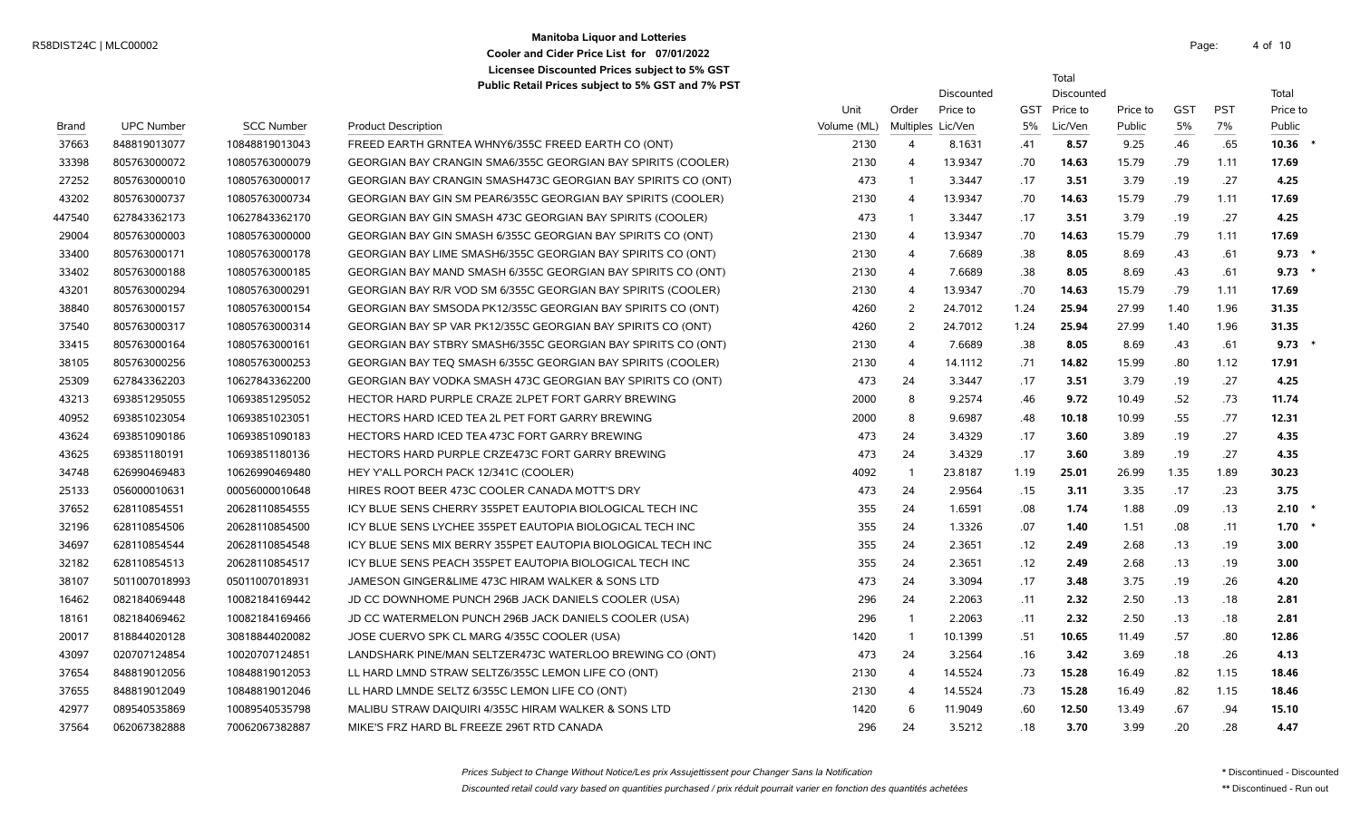#### **Manitoba Liquor and Lotteries** Manhoba Enqui and Evitenes<br>
Cooler and City Price List for 07/01/2022 **Cooler and Cider Price List for 07/01/2022 Licensee Discounted Prices subject to 5% GST Public Retail Prices subject to 5% GST and 7% PST**

Total

|        |                   |                   |                                                                     |             |                | Discounted        |            | Discounted |          |            |            | Total     |  |
|--------|-------------------|-------------------|---------------------------------------------------------------------|-------------|----------------|-------------------|------------|------------|----------|------------|------------|-----------|--|
|        |                   |                   |                                                                     | Unit        | Order          | Price to          | <b>GST</b> | Price to   | Price to | <b>GST</b> | <b>PST</b> | Price to  |  |
| Brand  | <b>UPC Number</b> | <b>SCC Number</b> | <b>Product Description</b>                                          | Volume (ML) |                | Multiples Lic/Ven | 5%         | Lic/Ven    | Public   | 5%         | 7%         | Public    |  |
| 37663  | 848819013077      | 10848819013043    | FREED EARTH GRNTEA WHNY6/355C FREED EARTH CO (ONT)                  | 2130        | $\overline{4}$ | 8.1631            | .41        | 8.57       | 9.25     | .46        | .65        | $10.36$ * |  |
| 33398  | 805763000072      | 10805763000079    | <b>GEORGIAN BAY CRANGIN SMA6/355C GEORGIAN BAY SPIRITS (COOLER)</b> | 2130        | $\overline{4}$ | 13.9347           | .70        | 14.63      | 15.79    | .79        | 1.11       | 17.69     |  |
| 27252  | 805763000010      | 10805763000017    | GEORGIAN BAY CRANGIN SMASH473C GEORGIAN BAY SPIRITS CO (ONT)        | 473         | $\overline{1}$ | 3.3447            | .17        | 3.51       | 3.79     | .19        | .27        | 4.25      |  |
| 43202  | 805763000737      | 10805763000734    | GEORGIAN BAY GIN SM PEAR6/355C GEORGIAN BAY SPIRITS (COOLER)        | 2130        | $\overline{4}$ | 13.9347           | .70        | 14.63      | 15.79    | .79        | 1.11       | 17.69     |  |
| 447540 | 627843362173      | 10627843362170    | GEORGIAN BAY GIN SMASH 473C GEORGIAN BAY SPIRITS (COOLER)           | 473         | $\overline{1}$ | 3.3447            | .17        | 3.51       | 3.79     | .19        | .27        | 4.25      |  |
| 29004  | 805763000003      | 10805763000000    | GEORGIAN BAY GIN SMASH 6/355C GEORGIAN BAY SPIRITS CO (ONT)         | 2130        | $\overline{4}$ | 13.9347           | .70        | 14.63      | 15.79    | .79        | 1.11       | 17.69     |  |
| 33400  | 805763000171      | 10805763000178    | GEORGIAN BAY LIME SMASH6/355C GEORGIAN BAY SPIRITS CO (ONT)         | 2130        | $\overline{4}$ | 7.6689            | .38        | 8.05       | 8.69     | .43        | .61        | $9.73$ *  |  |
| 33402  | 805763000188      | 10805763000185    | GEORGIAN BAY MAND SMASH 6/355C GEORGIAN BAY SPIRITS CO (ONT)        | 2130        | $\overline{4}$ | 7.6689            | .38        | 8.05       | 8.69     | .43        | .61        | 9.73      |  |
| 43201  | 805763000294      | 10805763000291    | GEORGIAN BAY R/R VOD SM 6/355C GEORGIAN BAY SPIRITS (COOLER)        | 2130        | $\overline{4}$ | 13.9347           | .70        | 14.63      | 15.79    | .79        | 1.11       | 17.69     |  |
| 38840  | 805763000157      | 10805763000154    | GEORGIAN BAY SMSODA PK12/355C GEORGIAN BAY SPIRITS CO (ONT)         | 4260        | 2              | 24.7012           | 1.24       | 25.94      | 27.99    | 1.40       | 1.96       | 31.35     |  |
| 37540  | 805763000317      | 10805763000314    | GEORGIAN BAY SP VAR PK12/355C GEORGIAN BAY SPIRITS CO (ONT)         | 4260        | 2              | 24.7012           | 1.24       | 25.94      | 27.99    | 1.40       | 1.96       | 31.35     |  |
| 33415  | 805763000164      | 10805763000161    | GEORGIAN BAY STBRY SMASH6/355C GEORGIAN BAY SPIRITS CO (ONT)        | 2130        | $\overline{4}$ | 7.6689            | .38        | 8.05       | 8.69     | .43        | .61        | $9.73$ *  |  |
| 38105  | 805763000256      | 10805763000253    | GEORGIAN BAY TEQ SMASH 6/355C GEORGIAN BAY SPIRITS (COOLER)         | 2130        | -4             | 14.1112           | .71        | 14.82      | 15.99    | .80        | 1.12       | 17.91     |  |
| 25309  | 627843362203      | 10627843362200    | GEORGIAN BAY VODKA SMASH 473C GEORGIAN BAY SPIRITS CO (ONT)         | 473         | 24             | 3.3447            | .17        | 3.51       | 3.79     | .19        | .27        | 4.25      |  |
| 43213  | 693851295055      | 10693851295052    | HECTOR HARD PURPLE CRAZE 2LPET FORT GARRY BREWING                   | 2000        | 8              | 9.2574            | .46        | 9.72       | 10.49    | .52        | .73        | 11.74     |  |
| 40952  | 693851023054      | 10693851023051    | HECTORS HARD ICED TEA 2L PET FORT GARRY BREWING                     | 2000        | 8              | 9.6987            | .48        | 10.18      | 10.99    | .55        | .77        | 12.31     |  |
| 43624  | 693851090186      | 10693851090183    | HECTORS HARD ICED TEA 473C FORT GARRY BREWING                       | 473         | 24             | 3.4329            | .17        | 3.60       | 3.89     | .19        | .27        | 4.35      |  |
| 43625  | 693851180191      | 10693851180136    | HECTORS HARD PURPLE CRZE473C FORT GARRY BREWING                     | 473         | 24             | 3.4329            | .17        | 3.60       | 3.89     | .19        | .27        | 4.35      |  |
| 34748  | 626990469483      | 10626990469480    | HEY Y'ALL PORCH PACK 12/341C (COOLER)                               | 4092        | $\overline{1}$ | 23.8187           | 1.19       | 25.01      | 26.99    | 1.35       | 1.89       | 30.23     |  |
| 25133  | 056000010631      | 00056000010648    | HIRES ROOT BEER 473C COOLER CANADA MOTT'S DRY                       | 473         | 24             | 2.9564            | .15        | 3.11       | 3.35     | .17        | .23        | 3.75      |  |
| 37652  | 628110854551      | 20628110854555    | ICY BLUE SENS CHERRY 355PET EAUTOPIA BIOLOGICAL TECH INC            | 355         | 24             | 1.6591            | .08        | 1.74       | 1.88     | .09        | .13        | 2.10      |  |
| 32196  | 628110854506      | 20628110854500    | ICY BLUE SENS LYCHEE 355PET EAUTOPIA BIOLOGICAL TECH INC            | 355         | 24             | 1.3326            | .07        | 1.40       | 1.51     | .08        | .11        | $1.70*$   |  |
| 34697  | 628110854544      | 20628110854548    | ICY BLUE SENS MIX BERRY 355PET EAUTOPIA BIOLOGICAL TECH INC         | 355         | 24             | 2.3651            | .12        | 2.49       | 2.68     | .13        | .19        | 3.00      |  |
| 32182  | 628110854513      | 20628110854517    | ICY BLUE SENS PEACH 355PET EAUTOPIA BIOLOGICAL TECH INC             | 355         | 24             | 2.3651            | .12        | 2.49       | 2.68     | .13        | .19        | 3.00      |  |
| 38107  | 5011007018993     | 05011007018931    | JAMESON GINGER&LIME 473C HIRAM WALKER & SONS LTD                    | 473         | 24             | 3.3094            | .17        | 3.48       | 3.75     | .19        | .26        | 4.20      |  |
| 16462  | 082184069448      | 10082184169442    | JD CC DOWNHOME PUNCH 296B JACK DANIELS COOLER (USA)                 | 296         | 24             | 2.2063            | .11        | 2.32       | 2.50     | .13        | .18        | 2.81      |  |
| 18161  | 082184069462      | 10082184169466    | JD CC WATERMELON PUNCH 296B JACK DANIELS COOLER (USA)               | 296         | $\overline{1}$ | 2.2063            | .11        | 2.32       | 2.50     | .13        | .18        | 2.81      |  |
| 20017  | 818844020128      | 30818844020082    | JOSE CUERVO SPK CL MARG 4/355C COOLER (USA)                         | 1420        | $\overline{1}$ | 10.1399           | .51        | 10.65      | 11.49    | .57        | .80        | 12.86     |  |
| 43097  | 020707124854      | 10020707124851    | LANDSHARK PINE/MAN SELTZER473C WATERLOO BREWING CO (ONT)            | 473         | 24             | 3.2564            | .16        | 3.42       | 3.69     | .18        | .26        | 4.13      |  |
| 37654  | 848819012056      | 10848819012053    | LL HARD LMND STRAW SELTZ6/355C LEMON LIFE CO (ONT)                  | 2130        | $\overline{4}$ | 14.5524           | .73        | 15.28      | 16.49    | .82        | 1.15       | 18.46     |  |
| 37655  | 848819012049      | 10848819012046    | LL HARD LMNDE SELTZ 6/355C LEMON LIFE CO (ONT)                      | 2130        | $\overline{4}$ | 14.5524           | .73        | 15.28      | 16.49    | .82        | 1.15       | 18.46     |  |
| 42977  | 089540535869      | 10089540535798    | MALIBU STRAW DAIQUIRI 4/355C HIRAM WALKER & SONS LTD                | 1420        | 6              | 11.9049           | .60        | 12.50      | 13.49    | .67        | .94        | 15.10     |  |
| 37564  | 062067382888      | 70062067382887    | MIKE'S FRZ HARD BL FREEZE 296T RTD CANADA                           | 296         | 24             | 3.5212            | .18        | 3.70       | 3.99     | .20        | .28        | 4.47      |  |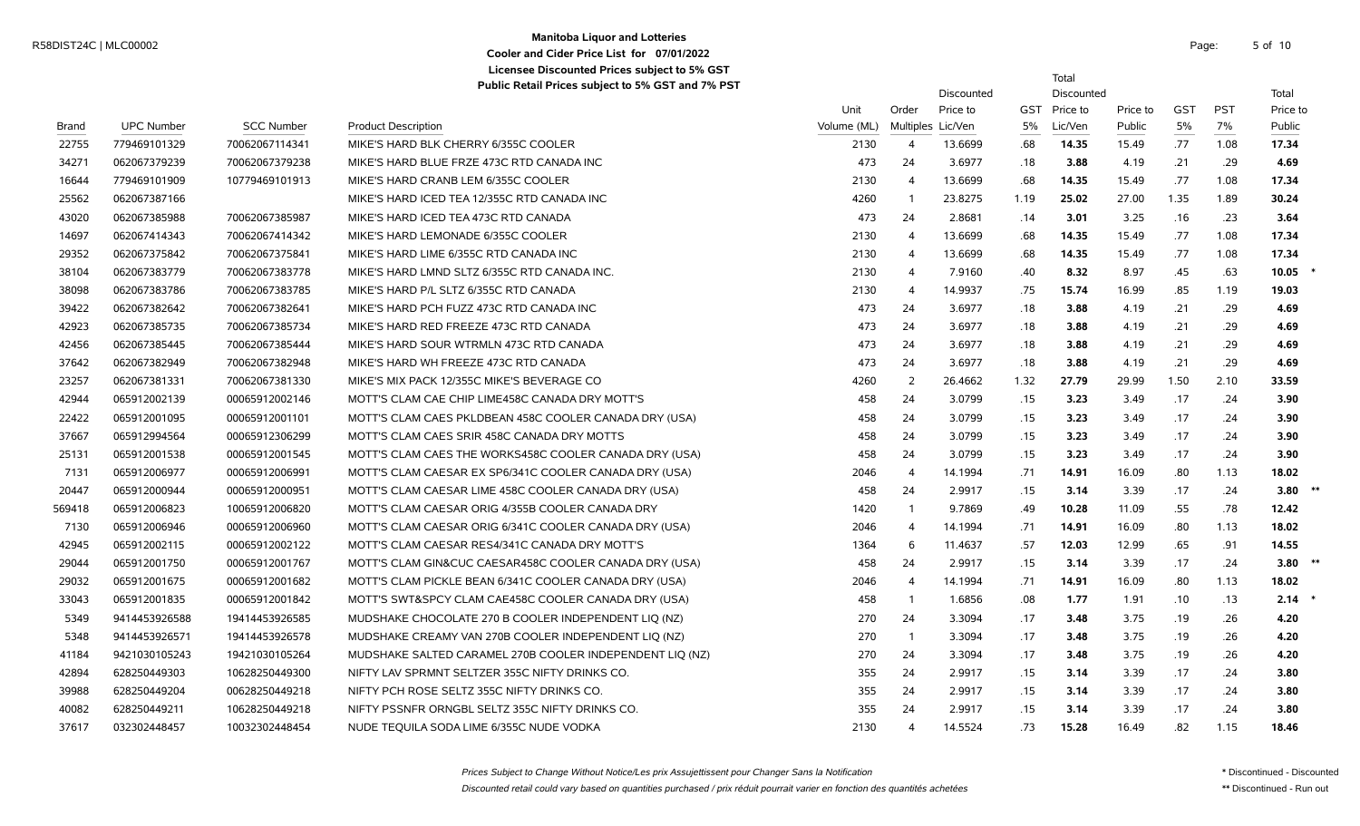### **Manitoba Liquor and Lotteries** R58DIST24C | MLC00002 Page: 5 of the state of the contract of the contract of the contract of the contract of the contract of the contract of the contract of the contract of the contract of the contract of the contract of **Cooler and Cider Price List for 07/01/2022 Licensee Discounted Prices subject to 5% GST**

5 of 10

Total

|        |                   |                   |                                                          |             |                   | Discounted |            | Discounted |          |            |            | Total     |      |
|--------|-------------------|-------------------|----------------------------------------------------------|-------------|-------------------|------------|------------|------------|----------|------------|------------|-----------|------|
|        |                   |                   |                                                          | Unit        | Order             | Price to   | <b>GST</b> | Price to   | Price to | <b>GST</b> | <b>PST</b> | Price to  |      |
| Brand  | <b>UPC Number</b> | <b>SCC Number</b> | <b>Product Description</b>                               | Volume (ML) | Multiples Lic/Ven |            | 5%         | Lic/Ven    | Public   | 5%         | 7%         | Public    |      |
| 22755  | 779469101329      | 70062067114341    | MIKE'S HARD BLK CHERRY 6/355C COOLER                     | 2130        | $\overline{4}$    | 13.6699    | .68        | 14.35      | 15.49    | .77        | 1.08       | 17.34     |      |
| 34271  | 062067379239      | 70062067379238    | MIKE'S HARD BLUE FRZE 473C RTD CANADA INC                | 473         | 24                | 3.6977     | .18        | 3.88       | 4.19     | .21        | .29        | 4.69      |      |
| 16644  | 779469101909      | 10779469101913    | MIKE'S HARD CRANB LEM 6/355C COOLER                      | 2130        | $\overline{4}$    | 13.6699    | .68        | 14.35      | 15.49    | .77        | 1.08       | 17.34     |      |
| 25562  | 062067387166      |                   | MIKE'S HARD ICED TEA 12/355C RTD CANADA INC              | 4260        | $\overline{1}$    | 23.8275    | 1.19       | 25.02      | 27.00    | 1.35       | 1.89       | 30.24     |      |
| 43020  | 062067385988      | 70062067385987    | MIKE'S HARD ICED TEA 473C RTD CANADA                     | 473         | 24                | 2.8681     | .14        | 3.01       | 3.25     | .16        | .23        | 3.64      |      |
| 14697  | 062067414343      | 70062067414342    | MIKE'S HARD LEMONADE 6/355C COOLER                       | 2130        | $\overline{4}$    | 13.6699    | .68        | 14.35      | 15.49    | .77        | 1.08       | 17.34     |      |
| 29352  | 062067375842      | 70062067375841    | MIKE'S HARD LIME 6/355C RTD CANADA INC                   | 2130        | $\overline{4}$    | 13.6699    | .68        | 14.35      | 15.49    | .77        | 1.08       | 17.34     |      |
| 38104  | 062067383779      | 70062067383778    | MIKE'S HARD LMND SLTZ 6/355C RTD CANADA INC.             | 2130        | $\overline{4}$    | 7.9160     | .40        | 8.32       | 8.97     | .45        | .63        | 10.05     |      |
| 38098  | 062067383786      | 70062067383785    | MIKE'S HARD P/L SLTZ 6/355C RTD CANADA                   | 2130        | $\overline{4}$    | 14.9937    | .75        | 15.74      | 16.99    | .85        | 1.19       | 19.03     |      |
| 39422  | 062067382642      | 70062067382641    | MIKE'S HARD PCH FUZZ 473C RTD CANADA INC                 | 473         | 24                | 3.6977     | .18        | 3.88       | 4.19     | .21        | .29        | 4.69      |      |
| 42923  | 062067385735      | 70062067385734    | MIKE'S HARD RED FREEZE 473C RTD CANADA                   | 473         | 24                | 3.6977     | .18        | 3.88       | 4.19     | .21        | .29        | 4.69      |      |
| 42456  | 062067385445      | 70062067385444    | MIKE'S HARD SOUR WTRMLN 473C RTD CANADA                  | 473         | 24                | 3.6977     | .18        | 3.88       | 4.19     | .21        | .29        | 4.69      |      |
| 37642  | 062067382949      | 70062067382948    | MIKE'S HARD WH FREEZE 473C RTD CANADA                    | 473         | 24                | 3.6977     | .18        | 3.88       | 4.19     | .21        | .29        | 4.69      |      |
| 23257  | 062067381331      | 70062067381330    | MIKE'S MIX PACK 12/355C MIKE'S BEVERAGE CO               | 4260        | $\overline{2}$    | 26.4662    | 1.32       | 27.79      | 29.99    | 1.50       | 2.10       | 33.59     |      |
| 42944  | 065912002139      | 00065912002146    | MOTT'S CLAM CAE CHIP LIME458C CANADA DRY MOTT'S          | 458         | 24                | 3.0799     | .15        | 3.23       | 3.49     | .17        | .24        | 3.90      |      |
| 22422  | 065912001095      | 00065912001101    | MOTT'S CLAM CAES PKLDBEAN 458C COOLER CANADA DRY (USA)   | 458         | 24                | 3.0799     | .15        | 3.23       | 3.49     | .17        | .24        | 3.90      |      |
| 37667  | 065912994564      | 00065912306299    | MOTT'S CLAM CAES SRIR 458C CANADA DRY MOTTS              | 458         | 24                | 3.0799     | .15        | 3.23       | 3.49     | .17        | .24        | 3.90      |      |
| 25131  | 065912001538      | 00065912001545    | MOTT'S CLAM CAES THE WORKS458C COOLER CANADA DRY (USA)   | 458         | 24                | 3.0799     | .15        | 3.23       | 3.49     | .17        | .24        | 3.90      |      |
| 7131   | 065912006977      | 00065912006991    | MOTT'S CLAM CAESAR EX SP6/341C COOLER CANADA DRY (USA)   | 2046        | $\overline{4}$    | 14.1994    | .71        | 14.91      | 16.09    | .80        | 1.13       | 18.02     |      |
| 20447  | 065912000944      | 00065912000951    | MOTT'S CLAM CAESAR LIME 458C COOLER CANADA DRY (USA)     | 458         | 24                | 2.9917     | .15        | 3.14       | 3.39     | .17        | .24        | 3.80      | $**$ |
| 569418 | 065912006823      | 10065912006820    | MOTT'S CLAM CAESAR ORIG 4/355B COOLER CANADA DRY         | 1420        | $\overline{1}$    | 9.7869     | .49        | 10.28      | 11.09    | .55        | .78        | 12.42     |      |
| 7130   | 065912006946      | 00065912006960    | MOTT'S CLAM CAESAR ORIG 6/341C COOLER CANADA DRY (USA)   | 2046        | $\overline{4}$    | 14.1994    | .71        | 14.91      | 16.09    | .80        | 1.13       | 18.02     |      |
| 42945  | 065912002115      | 00065912002122    | MOTT'S CLAM CAESAR RES4/341C CANADA DRY MOTT'S           | 1364        | 6                 | 11.4637    | .57        | 12.03      | 12.99    | .65        | .91        | 14.55     |      |
| 29044  | 065912001750      | 00065912001767    | MOTT'S CLAM GIN&CUC CAESAR458C COOLER CANADA DRY (USA)   | 458         | 24                | 2.9917     | .15        | 3.14       | 3.39     | .17        | .24        | $3.80$ ** |      |
| 29032  | 065912001675      | 00065912001682    | MOTT'S CLAM PICKLE BEAN 6/341C COOLER CANADA DRY (USA)   | 2046        | $\overline{4}$    | 14.1994    | .71        | 14.91      | 16.09    | .80        | 1.13       | 18.02     |      |
| 33043  | 065912001835      | 00065912001842    | MOTT'S SWT&SPCY CLAM CAE458C COOLER CANADA DRY (USA)     | 458         | $\overline{1}$    | 1.6856     | .08        | 1.77       | 1.91     | .10        | .13        | 2.14      |      |
| 5349   | 9414453926588     | 19414453926585    | MUDSHAKE CHOCOLATE 270 B COOLER INDEPENDENT LIQ (NZ)     | 270         | 24                | 3.3094     | .17        | 3.48       | 3.75     | .19        | .26        | 4.20      |      |
| 5348   | 9414453926571     | 19414453926578    | MUDSHAKE CREAMY VAN 270B COOLER INDEPENDENT LIQ (NZ)     | 270         | $\overline{1}$    | 3.3094     | .17        | 3.48       | 3.75     | .19        | .26        | 4.20      |      |
| 41184  | 9421030105243     | 19421030105264    | MUDSHAKE SALTED CARAMEL 270B COOLER INDEPENDENT LIQ (NZ) | 270         | 24                | 3.3094     | .17        | 3.48       | 3.75     | .19        | .26        | 4.20      |      |
| 42894  | 628250449303      | 10628250449300    | NIFTY LAV SPRMNT SELTZER 355C NIFTY DRINKS CO.           | 355         | 24                | 2.9917     | .15        | 3.14       | 3.39     | .17        | .24        | 3.80      |      |
| 39988  | 628250449204      | 00628250449218    | NIFTY PCH ROSE SELTZ 355C NIFTY DRINKS CO.               | 355         | 24                | 2.9917     | .15        | 3.14       | 3.39     | .17        | .24        | 3.80      |      |
| 40082  | 628250449211      | 10628250449218    | NIFTY PSSNFR ORNGBL SELTZ 355C NIFTY DRINKS CO.          | 355         | 24                | 2.9917     | .15        | 3.14       | 3.39     | .17        | .24        | 3.80      |      |
| 37617  | 032302448457      | 10032302448454    | NUDE TEQUILA SODA LIME 6/355C NUDE VODKA                 | 2130        | $\overline{4}$    | 14.5524    | .73        | 15.28      | 16.49    | .82        | 1.15       | 18.46     |      |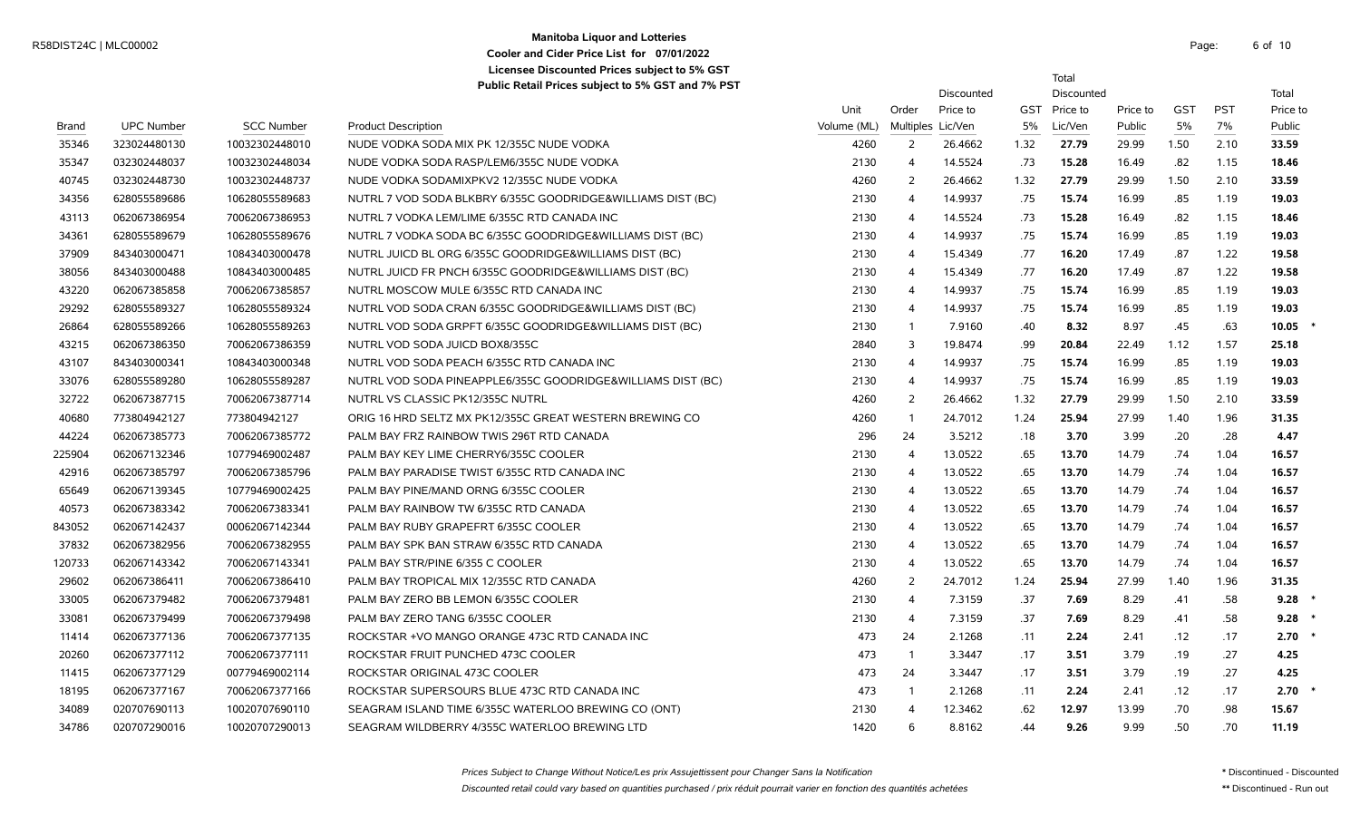### **Manitoba Liquor and Lotteries** R58DIST24C | MLC00002 Page: 6 of the contract of the contract of the contract of the contract of the contract of the contract of the contract of the contract of the contract of the contract of the contract of the contract **Cooler and Cider Price List for 07/01/2022 Licensee Discounted Prices subject to 5% GST**

|        |                   |                   |                                                             |             |                   |            |      | Total        |          |            |            |          |
|--------|-------------------|-------------------|-------------------------------------------------------------|-------------|-------------------|------------|------|--------------|----------|------------|------------|----------|
|        |                   |                   | Public Retail Prices subject to 5% GST and 7% PST           |             |                   | Discounted |      | Discounted   |          |            |            | Total    |
|        |                   |                   |                                                             | Unit        | Order             | Price to   |      | GST Price to | Price to | <b>GST</b> | <b>PST</b> | Price to |
| Brand  | <b>UPC Number</b> | <b>SCC Number</b> | <b>Product Description</b>                                  | Volume (ML) | Multiples Lic/Ven |            | 5%   | Lic/Ven      | Public   | 5%         | 7%         | Public   |
| 35346  | 323024480130      | 10032302448010    | NUDE VODKA SODA MIX PK 12/355C NUDE VODKA                   | 4260        | $\overline{2}$    | 26.4662    | 1.32 | 27.79        | 29.99    | 1.50       | 2.10       | 33.59    |
| 35347  | 032302448037      | 10032302448034    | NUDE VODKA SODA RASP/LEM6/355C NUDE VODKA                   | 2130        | 4                 | 14.5524    | .73  | 15.28        | 16.49    | .82        | 1.15       | 18.46    |
| 40745  | 032302448730      | 10032302448737    | NUDE VODKA SODAMIXPKV2 12/355C NUDE VODKA                   | 4260        | 2                 | 26.4662    | 1.32 | 27.79        | 29.99    | 1.50       | 2.10       | 33.59    |
| 34356  | 628055589686      | 10628055589683    | NUTRL 7 VOD SODA BLKBRY 6/355C GOODRIDGE&WILLIAMS DIST (BC) | 2130        | $\overline{4}$    | 14.9937    | .75  | 15.74        | 16.99    | .85        | 1.19       | 19.03    |
| 43113  | 062067386954      | 70062067386953    | NUTRL 7 VODKA LEM/LIME 6/355C RTD CANADA INC                | 2130        | 4                 | 14.5524    | .73  | 15.28        | 16.49    | .82        | 1.15       | 18.46    |
| 34361  | 628055589679      | 10628055589676    | NUTRL 7 VODKA SODA BC 6/355C GOODRIDGE&WILLIAMS DIST (BC)   | 2130        | 4                 | 14.9937    | .75  | 15.74        | 16.99    | .85        | 1.19       | 19.03    |
| 37909  | 843403000471      | 10843403000478    | NUTRL JUICD BL ORG 6/355C GOODRIDGE&WILLIAMS DIST (BC)      | 2130        | 4                 | 15.4349    | .77  | 16.20        | 17.49    | .87        | 1.22       | 19.58    |
| 38056  | 843403000488      | 10843403000485    | NUTRL JUICD FR PNCH 6/355C GOODRIDGE&WILLIAMS DIST (BC)     | 2130        | 4                 | 15.4349    | .77  | 16.20        | 17.49    | .87        | 1.22       | 19.58    |
| 43220  | 062067385858      | 70062067385857    | NUTRL MOSCOW MULE 6/355C RTD CANADA INC                     | 2130        | 4                 | 14.9937    | .75  | 15.74        | 16.99    | .85        | 1.19       | 19.03    |
| 29292  | 628055589327      | 10628055589324    | NUTRL VOD SODA CRAN 6/355C GOODRIDGE&WILLIAMS DIST (BC)     | 2130        | 4                 | 14.9937    | .75  | 15.74        | 16.99    | .85        | 1.19       | 19.03    |
| 26864  | 628055589266      | 10628055589263    | NUTRL VOD SODA GRPFT 6/355C GOODRIDGE&WILLIAMS DIST (BC)    | 2130        | -1                | 7.9160     | .40  | 8.32         | 8.97     | .45        | .63        | 10.05    |
| 43215  | 062067386350      | 70062067386359    | NUTRL VOD SODA JUICD BOX8/355C                              | 2840        | 3                 | 19.8474    | .99  | 20.84        | 22.49    | 1.12       | 1.57       | 25.18    |
| 43107  | 843403000341      | 10843403000348    | NUTRL VOD SODA PEACH 6/355C RTD CANADA INC                  | 2130        | 4                 | 14.9937    | .75  | 15.74        | 16.99    | .85        | 1.19       | 19.03    |
| 33076  | 628055589280      | 10628055589287    | NUTRL VOD SODA PINEAPPLE6/355C GOODRIDGE&WILLIAMS DIST (BC) | 2130        | $\overline{4}$    | 14.9937    | .75  | 15.74        | 16.99    | .85        | 1.19       | 19.03    |
| 32722  | 062067387715      | 70062067387714    | NUTRL VS CLASSIC PK12/355C NUTRL                            | 4260        | $\overline{2}$    | 26.4662    | 1.32 | 27.79        | 29.99    | 1.50       | 2.10       | 33.59    |
| 40680  | 773804942127      | 773804942127      | ORIG 16 HRD SELTZ MX PK12/355C GREAT WESTERN BREWING CO     | 4260        | $\overline{1}$    | 24.7012    | 1.24 | 25.94        | 27.99    | 1.40       | 1.96       | 31.35    |
| 44224  | 062067385773      | 70062067385772    | PALM BAY FRZ RAINBOW TWIS 296T RTD CANADA                   | 296         | 24                | 3.5212     | .18  | 3.70         | 3.99     | .20        | .28        | 4.47     |
| 225904 | 062067132346      | 10779469002487    | PALM BAY KEY LIME CHERRY6/355C COOLER                       | 2130        | $\overline{4}$    | 13.0522    | .65  | 13.70        | 14.79    | .74        | 1.04       | 16.57    |
| 42916  | 062067385797      | 70062067385796    | PALM BAY PARADISE TWIST 6/355C RTD CANADA INC               | 2130        | 4                 | 13.0522    | .65  | 13.70        | 14.79    | .74        | 1.04       | 16.57    |
| 65649  | 062067139345      | 10779469002425    | PALM BAY PINE/MAND ORNG 6/355C COOLER                       | 2130        | $\overline{4}$    | 13.0522    | .65  | 13.70        | 14.79    | .74        | 1.04       | 16.57    |
| 40573  | 062067383342      | 70062067383341    | PALM BAY RAINBOW TW 6/355C RTD CANADA                       | 2130        | 4                 | 13.0522    | .65  | 13.70        | 14.79    | .74        | 1.04       | 16.57    |
| 843052 | 062067142437      | 00062067142344    | PALM BAY RUBY GRAPEFRT 6/355C COOLER                        | 2130        | 4                 | 13.0522    | .65  | 13.70        | 14.79    | .74        | 1.04       | 16.57    |
| 37832  | 062067382956      | 70062067382955    | PALM BAY SPK BAN STRAW 6/355C RTD CANADA                    | 2130        | 4                 | 13.0522    | .65  | 13.70        | 14.79    | .74        | 1.04       | 16.57    |
| 120733 | 062067143342      | 70062067143341    | PALM BAY STR/PINE 6/355 C COOLER                            | 2130        | 4                 | 13.0522    | .65  | 13.70        | 14.79    | .74        | 1.04       | 16.57    |
| 29602  | 062067386411      | 70062067386410    | PALM BAY TROPICAL MIX 12/355C RTD CANADA                    | 4260        | 2                 | 24.7012    | 1.24 | 25.94        | 27.99    | 1.40       | 1.96       | 31.35    |
| 33005  | 062067379482      | 70062067379481    | PALM BAY ZERO BB LEMON 6/355C COOLER                        | 2130        | 4                 | 7.3159     | .37  | 7.69         | 8.29     | .41        | .58        | 9.28     |
| 33081  | 062067379499      | 70062067379498    | PALM BAY ZERO TANG 6/355C COOLER                            | 2130        | $\overline{4}$    | 7.3159     | .37  | 7.69         | 8.29     | .41        | .58        | 9.28     |
| 11414  | 062067377136      | 70062067377135    | ROCKSTAR +VO MANGO ORANGE 473C RTD CANADA INC               | 473         | 24                | 2.1268     | .11  | 2.24         | 2.41     | .12        | .17        | 2.70     |
| 20260  | 062067377112      | 70062067377111    | ROCKSTAR FRUIT PUNCHED 473C COOLER                          | 473         | - 1               | 3.3447     | .17  | 3.51         | 3.79     | .19        | .27        | 4.25     |
| 11415  | 062067377129      | 00779469002114    | ROCKSTAR ORIGINAL 473C COOLER                               | 473         | 24                | 3.3447     | .17  | 3.51         | 3.79     | .19        | .27        | 4.25     |
| 18195  | 062067377167      | 70062067377166    | ROCKSTAR SUPERSOURS BLUE 473C RTD CANADA INC                | 473         | -1                | 2.1268     | .11  | 2.24         | 2.41     | .12        | .17        | 2.70     |
| 34089  | 020707690113      | 10020707690110    | SEAGRAM ISLAND TIME 6/355C WATERLOO BREWING CO (ONT)        | 2130        |                   | 12.3462    | .62  | 12.97        | 13.99    | .70        | .98        | 15.67    |
| 34786  | 020707290016      | 10020707290013    | SEAGRAM WILDBERRY 4/355C WATERLOO BREWING LTD               | 1420        |                   | 8.8162     | .44  | 9.26         | 9.99     | .50        | .70        | 11.19    |

Discounted retail could vary based on quantities purchased / prix réduit pourrait varier en fonction des quantités achetées \*\* Discontinued - Run out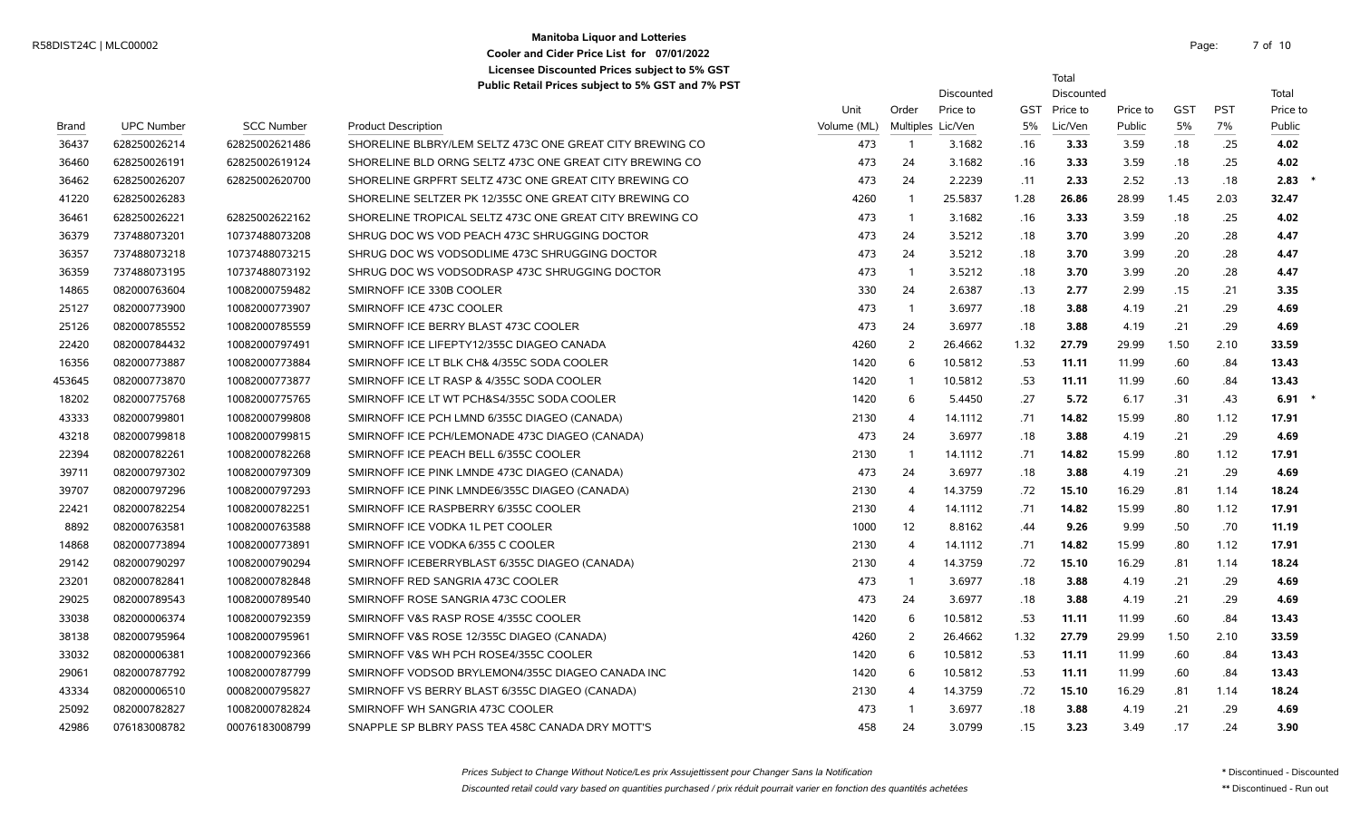# **Manitoba Liquor and Lotteries** R58DIST24C | MLC00002 Page: 7 of the contract of the contract of the contract of the contract of the contract of the contract of the contract of the contract of the contract of the contract of the contract of the contract **Cooler and Cider Price List for 07/01/2022 Licensee Discounted Prices subject to 5% GST**

7 of 10

Total

Discounted Discounted Total

|              |                   |                   |                                                          | Unit        | Order          | Price to          |      | GST Price to | Price to | <b>GST</b> | <b>PST</b> | Price to |
|--------------|-------------------|-------------------|----------------------------------------------------------|-------------|----------------|-------------------|------|--------------|----------|------------|------------|----------|
| <b>Brand</b> | <b>UPC Number</b> | <b>SCC Number</b> | <b>Product Description</b>                               | Volume (ML) |                | Multiples Lic/Ven | 5%   | Lic/Ven      | Public   | 5%         | 7%         | Public   |
| 36437        | 628250026214      | 62825002621486    | SHORELINE BLBRY/LEM SELTZ 473C ONE GREAT CITY BREWING CO | 473         | -1             | 3.1682            | .16  | 3.33         | 3.59     | .18        | .25        | 4.02     |
| 36460        | 628250026191      | 62825002619124    | SHORELINE BLD ORNG SELTZ 473C ONE GREAT CITY BREWING CO  | 473         | 24             | 3.1682            | .16  | 3.33         | 3.59     | .18        | .25        | 4.02     |
| 36462        | 628250026207      | 62825002620700    | SHORELINE GRPFRT SELTZ 473C ONE GREAT CITY BREWING CO    | 473         | 24             | 2.2239            | .11  | 2.33         | 2.52     | .13        | .18        | 2.83     |
| 41220        | 628250026283      |                   | SHORELINE SELTZER PK 12/355C ONE GREAT CITY BREWING CO   | 4260        |                | 25.5837           | 1.28 | 26.86        | 28.99    | 1.45       | 2.03       | 32.47    |
| 36461        | 628250026221      | 62825002622162    | SHORELINE TROPICAL SELTZ 473C ONE GREAT CITY BREWING CO  | 473         | -1             | 3.1682            | .16  | 3.33         | 3.59     | .18        | .25        | 4.02     |
| 36379        | 737488073201      | 10737488073208    | SHRUG DOC WS VOD PEACH 473C SHRUGGING DOCTOR             | 473         | 24             | 3.5212            | .18  | 3.70         | 3.99     | .20        | .28        | 4.47     |
| 36357        | 737488073218      | 10737488073215    | SHRUG DOC WS VODSODLIME 473C SHRUGGING DOCTOR            | 473         | 24             | 3.5212            | .18  | 3.70         | 3.99     | .20        | .28        | 4.47     |
| 36359        | 737488073195      | 10737488073192    | SHRUG DOC WS VODSODRASP 473C SHRUGGING DOCTOR            | 473         | - 1            | 3.5212            | .18  | 3.70         | 3.99     | .20        | .28        | 4.47     |
| 14865        | 082000763604      | 10082000759482    | SMIRNOFF ICE 330B COOLER                                 | 330         | 24             | 2.6387            | .13  | 2.77         | 2.99     | .15        | .21        | 3.35     |
| 25127        | 082000773900      | 10082000773907    | SMIRNOFF ICE 473C COOLER                                 | 473         | $\mathbf{1}$   | 3.6977            | .18  | 3.88         | 4.19     | .21        | .29        | 4.69     |
| 25126        | 082000785552      | 10082000785559    | SMIRNOFF ICE BERRY BLAST 473C COOLER                     | 473         | 24             | 3.6977            | .18  | 3.88         | 4.19     | .21        | .29        | 4.69     |
| 22420        | 082000784432      | 10082000797491    | SMIRNOFF ICE LIFEPTY12/355C DIAGEO CANADA                | 4260        | 2              | 26.4662           | 1.32 | 27.79        | 29.99    | 1.50       | 2.10       | 33.59    |
| 16356        | 082000773887      | 10082000773884    | SMIRNOFF ICE LT BLK CH& 4/355C SODA COOLER               | 1420        | 6              | 10.5812           | .53  | 11.11        | 11.99    | .60        | .84        | 13.43    |
| 453645       | 082000773870      | 10082000773877    | SMIRNOFF ICE LT RASP & 4/355C SODA COOLER                | 1420        |                | 10.5812           | .53  | 11.11        | 11.99    | .60        | .84        | 13.43    |
| 18202        | 082000775768      | 10082000775765    | SMIRNOFF ICE LT WT PCH&S4/355C SODA COOLER               | 1420        | 6              | 5.4450            | .27  | 5.72         | 6.17     | .31        | .43        | 6.91     |
| 43333        | 082000799801      | 10082000799808    | SMIRNOFF ICE PCH LMND 6/355C DIAGEO (CANADA)             | 2130        | $\overline{4}$ | 14.1112           | .71  | 14.82        | 15.99    | .80        | 1.12       | 17.91    |
| 43218        | 082000799818      | 10082000799815    | SMIRNOFF ICE PCH/LEMONADE 473C DIAGEO (CANADA)           | 473         | 24             | 3.6977            | .18  | 3.88         | 4.19     | .21        | .29        | 4.69     |
| 22394        | 082000782261      | 10082000782268    | SMIRNOFF ICE PEACH BELL 6/355C COOLER                    | 2130        | $\overline{1}$ | 14.1112           | .71  | 14.82        | 15.99    | .80        | 1.12       | 17.91    |
| 39711        | 082000797302      | 10082000797309    | SMIRNOFF ICE PINK LMNDE 473C DIAGEO (CANADA)             | 473         | 24             | 3.6977            | .18  | 3.88         | 4.19     | .21        | .29        | 4.69     |
| 39707        | 082000797296      | 10082000797293    | SMIRNOFF ICE PINK LMNDE6/355C DIAGEO (CANADA)            | 2130        | $\overline{4}$ | 14.3759           | .72  | 15.10        | 16.29    | .81        | 1.14       | 18.24    |
| 22421        | 082000782254      | 10082000782251    | SMIRNOFF ICE RASPBERRY 6/355C COOLER                     | 2130        | $\overline{4}$ | 14.1112           | .71  | 14.82        | 15.99    | .80        | 1.12       | 17.91    |
| 8892         | 082000763581      | 10082000763588    | SMIRNOFF ICE VODKA 1L PET COOLER                         | 1000        | 12             | 8.8162            | .44  | 9.26         | 9.99     | .50        | .70        | 11.19    |
| 14868        | 082000773894      | 10082000773891    | SMIRNOFF ICE VODKA 6/355 C COOLER                        | 2130        | $\overline{4}$ | 14.1112           | .71  | 14.82        | 15.99    | .80        | 1.12       | 17.91    |
| 29142        | 082000790297      | 10082000790294    | SMIRNOFF ICEBERRYBLAST 6/355C DIAGEO (CANADA)            | 2130        | $\overline{4}$ | 14.3759           | .72  | 15.10        | 16.29    | .81        | 1.14       | 18.24    |
| 23201        | 082000782841      | 10082000782848    | SMIRNOFF RED SANGRIA 473C COOLER                         | 473         | -1             | 3.6977            | .18  | 3.88         | 4.19     | .21        | .29        | 4.69     |
| 29025        | 082000789543      | 10082000789540    | SMIRNOFF ROSE SANGRIA 473C COOLER                        | 473         | 24             | 3.6977            | .18  | 3.88         | 4.19     | .21        | .29        | 4.69     |
| 33038        | 082000006374      | 10082000792359    | SMIRNOFF V&S RASP ROSE 4/355C COOLER                     | 1420        | 6              | 10.5812           | .53  | 11.11        | 11.99    | .60        | .84        | 13.43    |
| 38138        | 082000795964      | 10082000795961    | SMIRNOFF V&S ROSE 12/355C DIAGEO (CANADA)                | 4260        | 2              | 26.4662           | 1.32 | 27.79        | 29.99    | 1.50       | 2.10       | 33.59    |
| 33032        | 082000006381      | 10082000792366    | SMIRNOFF V&S WH PCH ROSE4/355C COOLER                    | 1420        | 6              | 10.5812           | .53  | 11.11        | 11.99    | .60        | .84        | 13.43    |
| 29061        | 082000787792      | 10082000787799    | SMIRNOFF VODSOD BRYLEMON4/355C DIAGEO CANADA INC         | 1420        | -6             | 10.5812           | .53  | 11.11        | 11.99    | .60        | .84        | 13.43    |
| 43334        | 082000006510      | 00082000795827    | SMIRNOFF VS BERRY BLAST 6/355C DIAGEO (CANADA)           | 2130        | $\overline{4}$ | 14.3759           | .72  | 15.10        | 16.29    | .81        | 1.14       | 18.24    |
| 25092        | 082000782827      | 10082000782824    | SMIRNOFF WH SANGRIA 473C COOLER                          | 473         |                | 3.6977            | .18  | 3.88         | 4.19     | .21        | .29        | 4.69     |
| 42986        | 076183008782      | 00076183008799    | SNAPPLE SP BLBRY PASS TEA 458C CANADA DRY MOTT'S         | 458         | 24             | 3.0799            | .15  | 3.23         | 3.49     | .17        | .24        | 3.90     |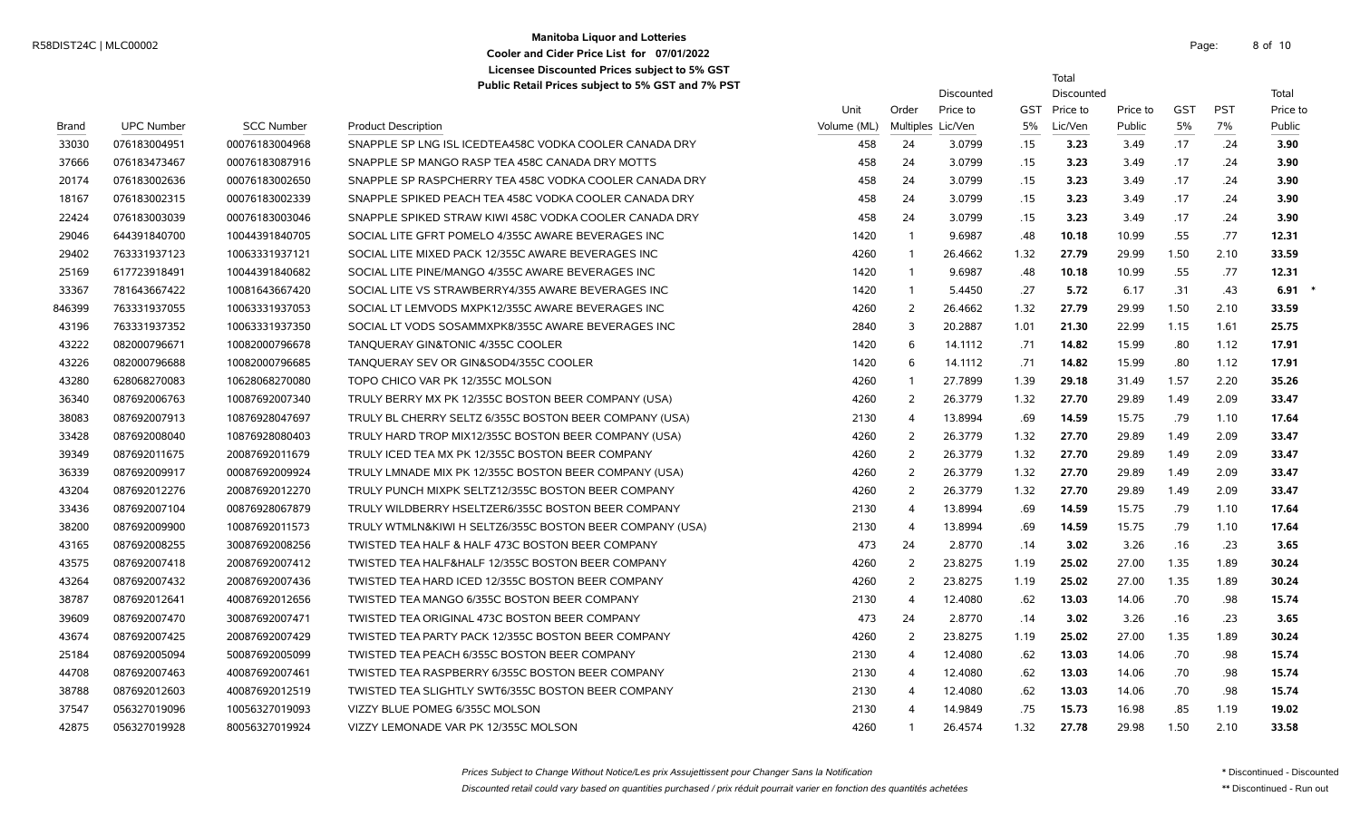#### **Manitoba Liquor and Lotteries** R58DIST24C | MLC00002 Page: 8 of **Cooler and Cider Price List for 07/01/2022 Licensee Discounted Prices subject to 5% GST Public Retail Prices subject to 5% GST and 7% PST**

8 of 10

Total

Discounted Discounted **Discounted** Total

Unit Order Price to GST Price to Price to GST PST Price to Brand UPC Number SCC Number Product Description Volume (ML) Multiples Lic/Ven 5% Lic/Ven Public 5% 7% Public 076183004951 00076183004968 SNAPPLE SP LNG ISL ICEDTEA458C VODKA COOLER CANADA DRY 458 24 3.0799 .15 **3.23** 3.49 .17 .24 **3.90** 076183473467 00076183087916 SNAPPLE SP MANGO RASP TEA 458C CANADA DRY MOTTS 458 24 3.0799 .15 **3.23** 3.49 .17 .24 **3.90** 076183002636 00076183002650 SNAPPLE SP RASPCHERRY TEA 458C VODKA COOLER CANADA DRY 458 24 3.0799 .15 **3.23** 3.49 .17 .24 **3.90** 076183002315 00076183002339 SNAPPLE SPIKED PEACH TEA 458C VODKA COOLER CANADA DRY 458 24 3.0799 .15 **3.23** 3.49 .17 .24 **3.90** 076183003039 00076183003046 SNAPPLE SPIKED STRAW KIWI 458C VODKA COOLER CANADA DRY 458 24 3.0799 .15 **3.23** 3.49 .17 .24 **3.90** 644391840700 10044391840705 SOCIAL LITE GFRT POMELO 4/355C AWARE BEVERAGES INC 1420 1 9.6987 .48 **10.18** 10.99 .55 .77 **12.31** 763331937123 10063331937121 SOCIAL LITE MIXED PACK 12/355C AWARE BEVERAGES INC 4260 1 26.4662 1.32 **27.79** 29.99 1.50 2.10 **33.59** 617723918491 10044391840682 SOCIAL LITE PINE/MANGO 4/355C AWARE BEVERAGES INC 1420 1 9.6987 .48 **10.18** 10.99 .55 .77 **12.31** 781643667422 10081643667420 SOCIAL LITE VS STRAWBERRY4/355 AWARE BEVERAGES INC 1420 1 5.4450 .27 **5.72** 6.17 .31 .43 **6.91** \* 763331937055 10063331937053 SOCIAL LT LEMVODS MXPK12/355C AWARE BEVERAGES INC 4260 2 26.4662 1.32 **27.79** 29.99 1.50 2.10 **33.59** 763331937352 10063331937350 SOCIAL LT VODS SOSAMMXPK8/355C AWARE BEVERAGES INC 2840 3 20.2887 1.01 **21.30** 22.99 1.15 1.61 **25.75** 082000796671 10082000796678 TANQUERAY GIN&TONIC 4/355C COOLER 1420 6 14.1112 .71 **14.82** 15.99 .80 1.12 **17.91** 082000796688 10082000796685 TANQUERAY SEV OR GIN&SOD4/355C COOLER 1420 6 14.1112 .71 **14.82** 15.99 .80 1.12 **17.91** 628068270083 10628068270080 TOPO CHICO VAR PK 12/355C MOLSON 4260 1 27.7899 1.39 **29.18** 31.49 1.57 2.20 **35.26** 087692006763 10087692007340 TRULY BERRY MX PK 12/355C BOSTON BEER COMPANY (USA) 4260 2 26.3779 1.32 **27.70** 29.89 1.49 2.09 **33.47** 087692007913 10876928047697 TRULY BL CHERRY SELTZ 6/355C BOSTON BEER COMPANY (USA) 2130 4 13.8994 .69 **14.59** 15.75 .79 1.10 **17.64** 087692008040 10876928080403 TRULY HARD TROP MIX12/355C BOSTON BEER COMPANY (USA) 4260 2 26.3779 1.32 **27.70** 29.89 1.49 2.09 **33.47** 087692011675 20087692011679 TRULY ICED TEA MX PK 12/355C BOSTON BEER COMPANY 4260 2 26.3779 1.32 **27.70** 29.89 1.49 2.09 **33.47** 087692009917 00087692009924 TRULY LMNADE MIX PK 12/355C BOSTON BEER COMPANY (USA) 4260 2 26.3779 1.32 **27.70** 29.89 1.49 2.09 **33.47** 087692012276 20087692012270 TRULY PUNCH MIXPK SELTZ12/355C BOSTON BEER COMPANY 4260 2 26.3779 1.32 **27.70** 29.89 1.49 2.09 **33.47** 087692007104 00876928067879 TRULY WILDBERRY HSELTZER6/355C BOSTON BEER COMPANY 2130 4 13.8994 .69 **14.59** 15.75 .79 1.10 **17.64** 087692009900 10087692011573 TRULY WTMLN&KIWI H SELTZ6/355C BOSTON BEER COMPANY (USA) 2130 4 13.8994 .69 **14.59** 15.75 .79 1.10 **17.64** 087692008255 30087692008256 TWISTED TEA HALF & HALF 473C BOSTON BEER COMPANY 473 24 2.8770 .14 **3.02** 3.26 .16 .23 **3.65** 087692007418 20087692007412 TWISTED TEA HALF&HALF 12/355C BOSTON BEER COMPANY 4260 2 23.8275 1.19 **25.02** 27.00 1.35 1.89 **30.24** 087692007432 20087692007436 TWISTED TEA HARD ICED 12/355C BOSTON BEER COMPANY 4260 2 23.8275 1.19 **25.02** 27.00 1.35 1.89 **30.24** 087692012641 40087692012656 TWISTED TEA MANGO 6/355C BOSTON BEER COMPANY 2130 4 12.4080 .62 **13.03** 14.06 .70 .98 **15.74** 087692007470 30087692007471 TWISTED TEA ORIGINAL 473C BOSTON BEER COMPANY 473 24 2.8770 .14 **3.02** 3.26 .16 .23 **3.65** 087692007425 20087692007429 TWISTED TEA PARTY PACK 12/355C BOSTON BEER COMPANY 4260 2 23.8275 1.19 **25.02** 27.00 1.35 1.89 **30.24** 087692005094 50087692005099 TWISTED TEA PEACH 6/355C BOSTON BEER COMPANY 2130 4 12.4080 .62 **13.03** 14.06 .70 .98 **15.74** 087692007463 40087692007461 TWISTED TEA RASPBERRY 6/355C BOSTON BEER COMPANY 2130 4 12.4080 .62 **13.03** 14.06 .70 .98 **15.74** 087692012603 40087692012519 TWISTED TEA SLIGHTLY SWT6/355C BOSTON BEER COMPANY 2130 4 12.4080 .62 **13.03** 14.06 .70 .98 **15.74** 056327019096 10056327019093 VIZZY BLUE POMEG 6/355C MOLSON 2130 4 14.9849 .75 **15.73** 16.98 .85 1.19 **19.02**

056327019928 80056327019924 VIZZY LEMONADE VAR PK 12/355C MOLSON 4260 1 26.4574 1.32 **27.78** 29.98 1.50 2.10 **33.58**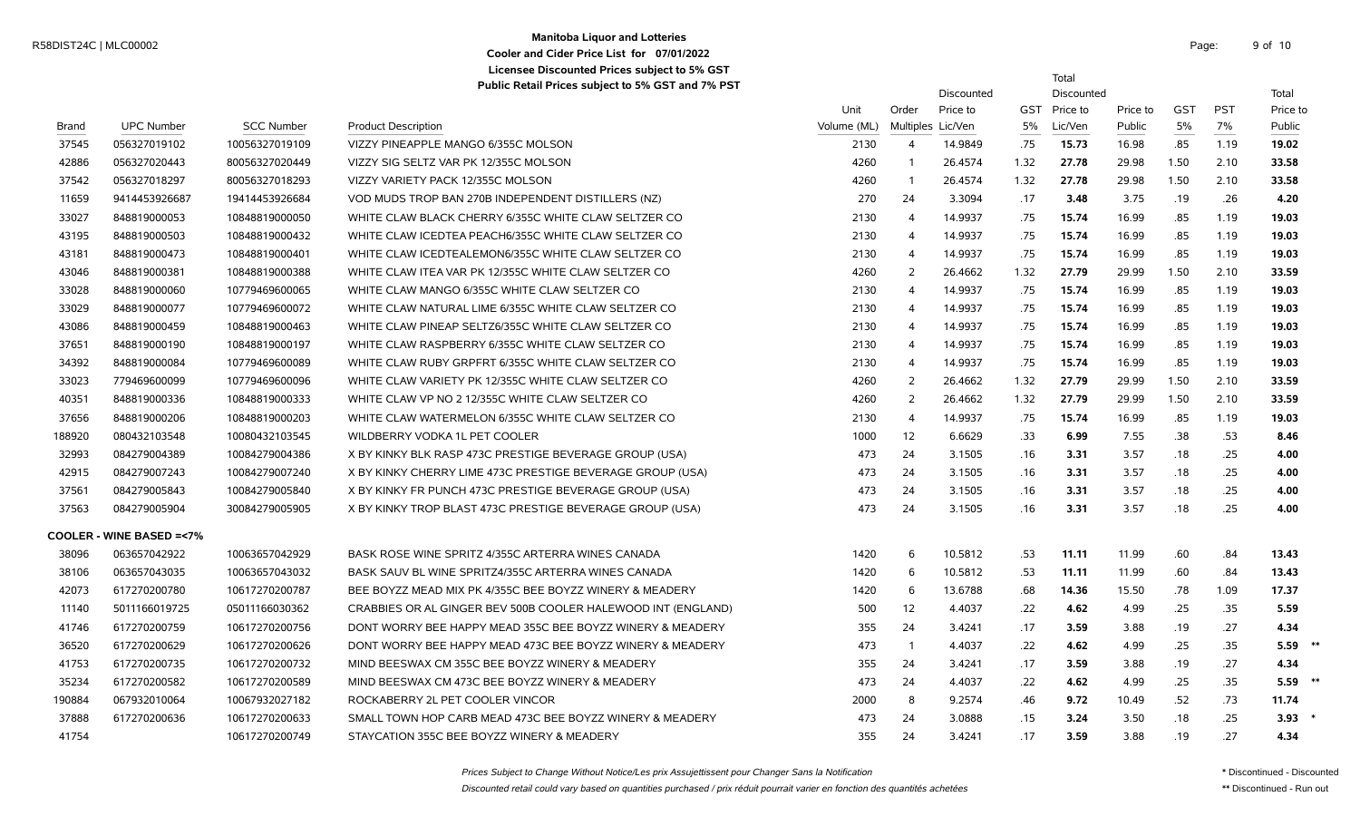# **Manitoba Liquor and Lotteries** Manhoba Enqui and Evitenes<br>
Cooler and City Price List for 07/01/2022 **Cooler and Cider Price List for 07/01/2022 Licensee Discounted Prices subject to 5% GST**

Total

|              |                                    |                   | Public Retail Prices subject to 5% GST and 7% PST            |             |                   | Discounted |      | Discounted   |          |            |            | Total     |
|--------------|------------------------------------|-------------------|--------------------------------------------------------------|-------------|-------------------|------------|------|--------------|----------|------------|------------|-----------|
|              |                                    |                   |                                                              | Unit        | Order             | Price to   |      | GST Price to | Price to | <b>GST</b> | <b>PST</b> | Price to  |
| <b>Brand</b> | <b>UPC Number</b>                  | <b>SCC Number</b> | <b>Product Description</b>                                   | Volume (ML) | Multiples Lic/Ven |            | 5%   | Lic/Ven      | Public   | 5%         | 7%         | Public    |
| 37545        | 056327019102                       | 10056327019109    | VIZZY PINEAPPLE MANGO 6/355C MOLSON                          | 2130        | $\overline{4}$    | 14.9849    | .75  | 15.73        | 16.98    | .85        | 1.19       | 19.02     |
| 42886        | 056327020443                       | 80056327020449    | VIZZY SIG SELTZ VAR PK 12/355C MOLSON                        | 4260        | $\overline{1}$    | 26.4574    | 1.32 | 27.78        | 29.98    | 1.50       | 2.10       | 33.58     |
| 37542        | 056327018297                       | 80056327018293    | VIZZY VARIETY PACK 12/355C MOLSON                            | 4260        | $\overline{1}$    | 26.4574    | 1.32 | 27.78        | 29.98    | 1.50       | 2.10       | 33.58     |
| 11659        | 9414453926687                      | 19414453926684    | VOD MUDS TROP BAN 270B INDEPENDENT DISTILLERS (NZ)           | 270         | 24                | 3.3094     | .17  | 3.48         | 3.75     | .19        | .26        | 4.20      |
| 33027        | 848819000053                       | 10848819000050    | WHITE CLAW BLACK CHERRY 6/355C WHITE CLAW SELTZER CO         | 2130        | $\overline{4}$    | 14.9937    | .75  | 15.74        | 16.99    | .85        | 1.19       | 19.03     |
| 43195        | 848819000503                       | 10848819000432    | WHITE CLAW ICEDTEA PEACH6/355C WHITE CLAW SELTZER CO         | 2130        | $\overline{4}$    | 14.9937    | .75  | 15.74        | 16.99    | .85        | 1.19       | 19.03     |
| 43181        | 848819000473                       | 10848819000401    | WHITE CLAW ICEDTEALEMON6/355C WHITE CLAW SELTZER CO          | 2130        | $\overline{4}$    | 14.9937    | .75  | 15.74        | 16.99    | .85        | 1.19       | 19.03     |
| 43046        | 848819000381                       | 10848819000388    | WHITE CLAW ITEA VAR PK 12/355C WHITE CLAW SELTZER CO         | 4260        | 2                 | 26.4662    | 1.32 | 27.79        | 29.99    | 1.50       | 2.10       | 33.59     |
| 33028        | 848819000060                       | 10779469600065    | WHITE CLAW MANGO 6/355C WHITE CLAW SELTZER CO                | 2130        | $\overline{4}$    | 14.9937    | .75  | 15.74        | 16.99    | .85        | 1.19       | 19.03     |
| 33029        | 848819000077                       | 10779469600072    | WHITE CLAW NATURAL LIME 6/355C WHITE CLAW SELTZER CO         | 2130        | 4                 | 14.9937    | .75  | 15.74        | 16.99    | .85        | 1.19       | 19.03     |
| 43086        | 848819000459                       | 10848819000463    | WHITE CLAW PINEAP SELTZ6/355C WHITE CLAW SELTZER CO          | 2130        | 4                 | 14.9937    | .75  | 15.74        | 16.99    | .85        | 1.19       | 19.03     |
| 37651        | 848819000190                       | 10848819000197    | WHITE CLAW RASPBERRY 6/355C WHITE CLAW SELTZER CO            | 2130        | 4                 | 14.9937    | .75  | 15.74        | 16.99    | .85        | 1.19       | 19.03     |
| 34392        | 848819000084                       | 10779469600089    | WHITE CLAW RUBY GRPFRT 6/355C WHITE CLAW SELTZER CO          | 2130        | $\overline{4}$    | 14.9937    | .75  | 15.74        | 16.99    | .85        | 1.19       | 19.03     |
| 33023        | 779469600099                       | 10779469600096    | WHITE CLAW VARIETY PK 12/355C WHITE CLAW SELTZER CO          | 4260        | 2                 | 26.4662    | 1.32 | 27.79        | 29.99    | 1.50       | 2.10       | 33.59     |
| 40351        | 848819000336                       | 10848819000333    | WHITE CLAW VP NO 2 12/355C WHITE CLAW SELTZER CO             | 4260        | 2                 | 26.4662    | 1.32 | 27.79        | 29.99    | 1.50       | 2.10       | 33.59     |
| 37656        | 848819000206                       | 10848819000203    | WHITE CLAW WATERMELON 6/355C WHITE CLAW SELTZER CO           | 2130        | $\overline{4}$    | 14.9937    | .75  | 15.74        | 16.99    | .85        | 1.19       | 19.03     |
| 188920       | 080432103548                       | 10080432103545    | WILDBERRY VODKA 1L PET COOLER                                | 1000        | 12                | 6.6629     | .33  | 6.99         | 7.55     | .38        | .53        | 8.46      |
| 32993        | 084279004389                       | 10084279004386    | X BY KINKY BLK RASP 473C PRESTIGE BEVERAGE GROUP (USA)       | 473         | 24                | 3.1505     | .16  | 3.31         | 3.57     | .18        | .25        | 4.00      |
| 42915        | 084279007243                       | 10084279007240    | X BY KINKY CHERRY LIME 473C PRESTIGE BEVERAGE GROUP (USA)    | 473         | 24                | 3.1505     | .16  | 3.31         | 3.57     | .18        | .25        | 4.00      |
| 37561        | 084279005843                       | 10084279005840    | X BY KINKY FR PUNCH 473C PRESTIGE BEVERAGE GROUP (USA)       | 473         | 24                | 3.1505     | .16  | 3.31         | 3.57     | .18        | .25        | 4.00      |
| 37563        | 084279005904                       | 30084279005905    | X BY KINKY TROP BLAST 473C PRESTIGE BEVERAGE GROUP (USA)     | 473         | 24                | 3.1505     | .16  | 3.31         | 3.57     | .18        | .25        | 4.00      |
|              | <b>COOLER - WINE BASED =&lt;7%</b> |                   |                                                              |             |                   |            |      |              |          |            |            |           |
| 38096        | 063657042922                       | 10063657042929    | BASK ROSE WINE SPRITZ 4/355C ARTERRA WINES CANADA            | 1420        | 6                 | 10.5812    | .53  | 11.11        | 11.99    | .60        | .84        | 13.43     |
| 38106        | 063657043035                       | 10063657043032    | BASK SAUV BL WINE SPRITZ4/355C ARTERRA WINES CANADA          | 1420        | 6                 | 10.5812    | .53  | 11.11        | 11.99    | .60        | .84        | 13.43     |
| 42073        | 617270200780                       | 10617270200787    | BEE BOYZZ MEAD MIX PK 4/355C BEE BOYZZ WINERY & MEADERY      | 1420        | - 6               | 13.6788    | .68  | 14.36        | 15.50    | .78        | 1.09       | 17.37     |
| 11140        | 5011166019725                      | 05011166030362    | CRABBIES OR AL GINGER BEV 500B COOLER HALEWOOD INT (ENGLAND) | 500         | 12                | 4.4037     | .22  | 4.62         | 4.99     | .25        | .35        | 5.59      |
| 41746        | 617270200759                       | 10617270200756    | DONT WORRY BEE HAPPY MEAD 355C BEE BOYZZ WINERY & MEADERY    | 355         | 24                | 3.4241     | .17  | 3.59         | 3.88     | .19        | .27        | 4.34      |
| 36520        | 617270200629                       | 10617270200626    | DONT WORRY BEE HAPPY MEAD 473C BEE BOYZZ WINERY & MEADERY    | 473         | $\overline{1}$    | 4.4037     | .22  | 4.62         | 4.99     | .25        | .35        | $5.59$ ** |
| 41753        | 617270200735                       | 10617270200732    | MIND BEESWAX CM 355C BEE BOYZZ WINERY & MEADERY              | 355         | 24                | 3.4241     | .17  | 3.59         | 3.88     | .19        | .27        | 4.34      |
| 35234        | 617270200582                       | 10617270200589    | MIND BEESWAX CM 473C BEE BOYZZ WINERY & MEADERY              | 473         | 24                | 4.4037     | .22  | 4.62         | 4.99     | .25        | .35        | $5.59$ ** |
| 190884       | 067932010064                       | 10067932027182    | ROCKABERRY 2L PET COOLER VINCOR                              | 2000        | 8                 | 9.2574     | .46  | 9.72         | 10.49    | .52        | .73        | 11.74     |
| 37888        | 617270200636                       | 10617270200633    | SMALL TOWN HOP CARB MEAD 473C BEE BOYZZ WINERY & MEADERY     | 473         | 24                | 3.0888     | .15  | 3.24         | 3.50     | .18        | .25        | 3.93      |
| 41754        |                                    | 10617270200749    | STAYCATION 355C BEE BOYZZ WINERY & MEADERY                   | 355         | 24                | 3.4241     | .17  | 3.59         | 3.88     | .19        | .27        | 4.34      |